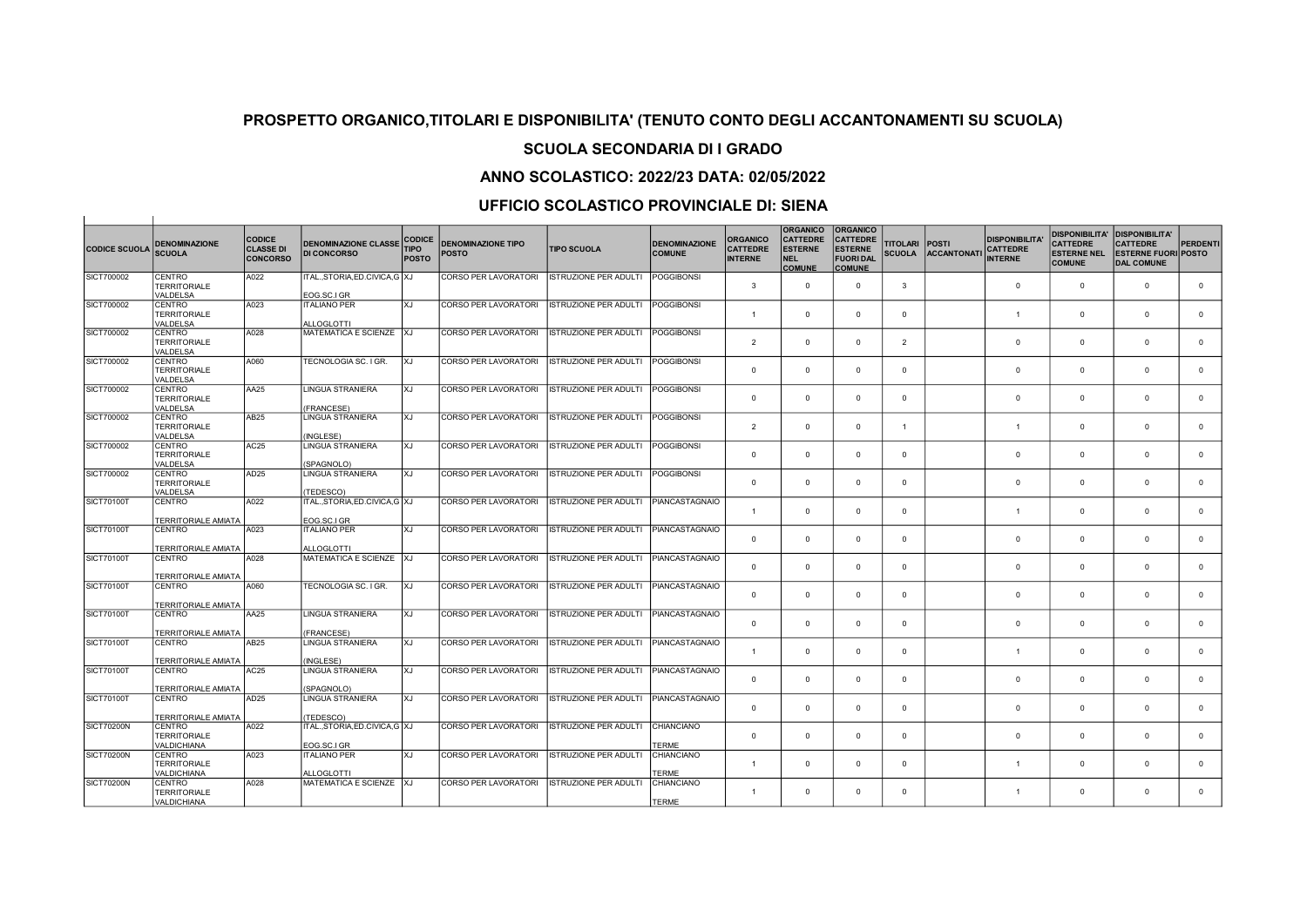#### SCUOLA SECONDARIA DI I GRADO

### ANNO SCOLASTICO: 2022/23 DATA: 02/05/2022

| <b>CODICE SCUOLA</b> | <b>DENOMINAZIONE</b><br><b>SCUOLA</b>               | <b>CODICE</b><br><b>CLASSE DI</b><br><b>CONCORSO</b> | <b>DENOMINAZIONE CLASSE</b><br><b>DI CONCORSO</b> | <b>CODICE</b><br><b>TIPO</b><br><b>POSTO</b> | <b>DENOMINAZIONE TIPO</b><br><b>POSTO</b> | <b>TIPO SCUOLA</b>           | <b>DENOMINAZIONE</b><br><b>COMUNE</b> | <b>ORGANICO</b><br><b>CATTEDRE</b><br><b>INTERNE</b> | <b>ORGANICO</b><br><b>CATTEDRE</b><br><b>ESTERNE</b><br><b>NEL</b><br><b>COMUNE</b> | <b>ORGANICO</b><br><b>CATTEDRE</b><br><b>ESTERNE</b><br><b>FUORI DAL</b><br><b>COMUNE</b> | <b>TITOLARI</b><br><b>SCUOLA</b> | <b>POSTI</b><br><b>ACCANTONATI</b> | <b>DISPONIBILITA</b><br><b>CATTEDRE</b><br><b>INTERNE</b> | <b>DISPONIBILITA'</b><br><b>CATTEDRE</b><br><b>ESTERNE NEL</b><br><b>COMUNE</b> | <b>DISPONIBILITA'</b><br><b>CATTEDRE</b><br><b>ESTERNE FUORI POSTO</b><br><b>DAL COMUNE</b> | <b>PERDENTI</b> |
|----------------------|-----------------------------------------------------|------------------------------------------------------|---------------------------------------------------|----------------------------------------------|-------------------------------------------|------------------------------|---------------------------------------|------------------------------------------------------|-------------------------------------------------------------------------------------|-------------------------------------------------------------------------------------------|----------------------------------|------------------------------------|-----------------------------------------------------------|---------------------------------------------------------------------------------|---------------------------------------------------------------------------------------------|-----------------|
| SICT700002           | CENTRO<br><b>TERRITORIALE</b><br>VALDELSA           | A022                                                 | ITALSTORIA.ED.CIVICA.G XJ<br>EOG.SC.I GR          |                                              | <b>CORSO PER LAVORATORI</b>               | <b>ISTRUZIONE PER ADULTI</b> | <b>POGGIBONSI</b>                     | 3                                                    | $\Omega$                                                                            | $\mathbf{0}$                                                                              | $\mathbf{3}$                     |                                    | $\Omega$                                                  | $\Omega$                                                                        | $\Omega$                                                                                    | $\Omega$        |
| SICT700002           | CENTRO                                              | A023                                                 | <b>ITALIANO PER</b>                               | <b>XJ</b>                                    | <b>CORSO PER LAVORATORI</b>               | ISTRUZIONE PER ADULTI        | <b>POGGIBONSI</b>                     |                                                      |                                                                                     |                                                                                           |                                  |                                    |                                                           |                                                                                 |                                                                                             |                 |
|                      | <b>TERRITORIALE</b><br>VALDELSA                     |                                                      | ALLOGLOTTI                                        |                                              |                                           |                              |                                       | -1                                                   | $\Omega$                                                                            | $\Omega$                                                                                  | $\mathbf{0}$                     |                                    | $\overline{1}$                                            | $\Omega$                                                                        | $\Omega$                                                                                    | $\mathbf{0}$    |
| SICT700002           | <b>CENTRO</b><br><b>TERRITORIALE</b><br>VALDELSA    | A028                                                 | MATEMATICA E SCIENZE                              | XJ                                           | <b>CORSO PER LAVORATORI</b>               | <b>ISTRUZIONE PER ADULTI</b> | POGGIBONSI                            | $\overline{2}$                                       | $\Omega$                                                                            | $\Omega$                                                                                  | $\overline{2}$                   |                                    | $\mathbf 0$                                               | $\Omega$                                                                        | $\Omega$                                                                                    | $\Omega$        |
| SICT700002           | CENTRO<br><b>TERRITORIALE</b><br>VALDELSA           | A060                                                 | TECNOLOGIA SC. I GR.                              | XJ                                           | CORSO PER LAVORATORI                      | <b>ISTRUZIONE PER ADULTI</b> | POGGIBONSI                            | $\Omega$                                             | $\Omega$                                                                            | $\Omega$                                                                                  | $\Omega$                         |                                    | $\Omega$                                                  | $\Omega$                                                                        | $\Omega$                                                                                    | $\Omega$        |
| SICT700002           | <b>CENTRO</b><br><b>TERRITORIALE</b><br>VALDELSA    | <b>AA25</b>                                          | <b>LINGUA STRANIERA</b><br>(FRANCESE)             | XJ                                           | <b>CORSO PER LAVORATORI</b>               | <b>ISTRUZIONE PER ADULTI</b> | POGGIBONSI                            | $\Omega$                                             | $\Omega$                                                                            | $\Omega$                                                                                  | $\mathbf 0$                      |                                    | $\Omega$                                                  | $\Omega$                                                                        | $\Omega$                                                                                    | $\Omega$        |
| SICT700002           | <b>CENTRO</b><br><b>TERRITORIALE</b><br>VALDELSA    | AB25                                                 | <b>LINGUA STRANIERA</b><br>(INGLESE)              | lxj                                          | <b>CORSO PER LAVORATORI</b>               | <b>ISTRUZIONE PER ADULTI</b> | POGGIBONSI                            | $\mathfrak{p}$                                       | $\Omega$                                                                            | $\Omega$                                                                                  | $\overline{1}$                   |                                    | $\mathbf{1}$                                              | $\Omega$                                                                        | $\Omega$                                                                                    | $\mathbf{0}$    |
| SICT700002           | <b>CENTRO</b><br><b>TERRITORIALE</b><br>VALDELSA    | AC25                                                 | <b>LINGUA STRANIERA</b><br>(SPAGNOLO)             | Txj                                          | CORSO PER LAVORATORI                      | ISTRUZIONE PER ADULTI        | POGGIBONSI                            | $\Omega$                                             | $\Omega$                                                                            | $^{\circ}$                                                                                | $^{\circ}$                       |                                    | $\mathbf{0}$                                              | $\Omega$                                                                        | $\Omega$                                                                                    | $\mathbf{0}$    |
| SICT700002           | <b>CENTRO</b><br><b>TERRITORIALE</b><br>VALDELSA    | AD <sub>25</sub>                                     | LINGUA STRANIERA<br>(TEDESCO)                     | lxj                                          | <b>CORSO PER LAVORATORI</b>               | <b>ISTRUZIONE PER ADULTI</b> | <b>POGGIBONSI</b>                     | $\Omega$                                             | $\Omega$                                                                            | $\Omega$                                                                                  | $\Omega$                         |                                    | $\Omega$                                                  | $\Omega$                                                                        | $\Omega$                                                                                    | $\mathbf{0}$    |
| <b>SICT70100T</b>    | CENTRO<br><b>TERRITORIALE AMIATA</b>                | A022                                                 | ITAL.,STORIA,ED.CIVICA,G XJ<br>EOG.SC.I GR        |                                              | CORSO PER LAVORATORI                      | <b>ISTRUZIONE PER ADULTI</b> | PIANCASTAGNAIO                        | $\mathbf{1}$                                         | $\Omega$                                                                            | $\Omega$                                                                                  | $\Omega$                         |                                    | $\overline{1}$                                            | $\Omega$                                                                        | $\Omega$                                                                                    | $^{\circ}$      |
| SICT70100T           | <b>CENTRO</b><br><b>TERRITORIALE AMIATA</b>         | A023                                                 | <b>TALIANO PER</b><br><b>ALLOGLOTTI</b>           | XJ                                           | <b>CORSO PER LAVORATORI</b>               | <b>ISTRUZIONE PER ADULTI</b> | PIANCASTAGNAIO                        | $\mathbf 0$                                          | $\Omega$                                                                            | $\Omega$                                                                                  | $\mathbf{0}$                     |                                    | $\mathbf 0$                                               | $\Omega$                                                                        | $\Omega$                                                                                    | $\mathbf{0}$    |
| SICT70100T           | <b>CENTRO</b><br><b>TERRITORIALE AMIATA</b>         | A028                                                 | MATEMATICA E SCIENZE XJ                           |                                              | <b>CORSO PER LAVORATORI</b>               | ISTRUZIONE PER ADULTI        | PIANCASTAGNAIO                        | $\overline{0}$                                       | $\Omega$                                                                            | $\mathbf{0}$                                                                              | $\mathbf{0}$                     |                                    | $\Omega$                                                  | $\Omega$                                                                        | $\Omega$                                                                                    | $\Omega$        |
| SICT70100T           | <b>CENTRO</b><br><b>TERRITORIALE AMIATA</b>         | A060                                                 | TECNOLOGIA SC. I GR.                              | XJ                                           | CORSO PER LAVORATORI                      | <b>ISTRUZIONE PER ADULTI</b> | PIANCASTAGNAIO                        | $\overline{0}$                                       | $\Omega$                                                                            | $\Omega$                                                                                  | $\mathbf 0$                      |                                    | $\mathbf 0$                                               | $\Omega$                                                                        | $\mathbf{0}$                                                                                | $\mathbf{0}$    |
| <b>SICT70100T</b>    | <b>CENTRO</b><br><b>TERRITORIALE AMIATA</b>         | AA25                                                 | <b>LINGUA STRANIERA</b><br>(FRANCESE)             | XJ                                           | <b>CORSO PER LAVORATORI</b>               | <b>ISTRUZIONE PER ADULTI</b> | PIANCASTAGNAIO                        | $\mathbf{0}$                                         | $\Omega$                                                                            | $\Omega$                                                                                  | $\mathbf 0$                      |                                    | $\Omega$                                                  | $\Omega$                                                                        | $\Omega$                                                                                    | $\mathbf{0}$    |
| <b>SICT70100T</b>    | CENTRO<br><b>TERRITORIALE AMIATA</b>                | AB25                                                 | LINGUA STRANIERA<br>(INGLESE)                     | <b>XJ</b>                                    | <b>CORSO PER LAVORATORI</b>               | <b>ISTRUZIONE PER ADULTI</b> | PIANCASTAGNAIO                        | 1                                                    | $\Omega$                                                                            | $\Omega$                                                                                  | $\Omega$                         |                                    | -1                                                        | $\Omega$                                                                        | $\Omega$                                                                                    | $\mathbf{0}$    |
| <b>SICT70100T</b>    | <b>CENTRO</b><br><b>TERRITORIALE AMIATA</b>         | AC25                                                 | <b>LINGUA STRANIERA</b><br>(SPAGNOLO)             | lxj                                          | <b>CORSO PER LAVORATORI</b>               | <b>ISTRUZIONE PER ADULTI</b> | PIANCASTAGNAIO                        | $\mathbf 0$                                          | $\Omega$                                                                            | $\Omega$                                                                                  | $\Omega$                         |                                    | $\Omega$                                                  | $\Omega$                                                                        | $\Omega$                                                                                    | $\mathbf{0}$    |
| <b>SICT70100T</b>    | <b>CENTRO</b><br><b>TERRITORIALE AMIATA</b>         | AD25                                                 | <b>LINGUA STRANIERA</b><br>(TEDESCO)              | Ixj                                          | CORSO PER LAVORATORI                      | <b>ISTRUZIONE PER ADULTI</b> | PIANCASTAGNAIO                        | $\Omega$                                             | $\Omega$                                                                            | $\Omega$                                                                                  | $\mathbf{0}$                     |                                    | $\Omega$                                                  | $\Omega$                                                                        | $\Omega$                                                                                    | $\Omega$        |
| <b>SICT70200N</b>    | <b>CENTRO</b><br><b>TERRITORIALE</b><br>VALDICHIANA | A022                                                 | ITALSTORIA.ED.CIVICA.G XJ<br>EOG.SC.I GR          |                                              | <b>CORSO PER LAVORATORI</b>               | <b>ISTRUZIONE PER ADULTI</b> | <b>CHIANCIANO</b><br><b>TERME</b>     | $\Omega$                                             | $\Omega$                                                                            | $\Omega$                                                                                  | $\Omega$                         |                                    | $\mathbf 0$                                               | $\Omega$                                                                        | $\Omega$                                                                                    | $\mathbf 0$     |
| <b>SICT70200N</b>    | CENTRO<br><b>TERRITORIALE</b><br><b>VALDICHIANA</b> | A023                                                 | <b>ITALIANO PER</b><br><b>ALLOGLOTTI</b>          | lxJ                                          | CORSO PER LAVORATORI                      | <b>ISTRUZIONE PER ADULTI</b> | CHIANCIANO<br><b>TERME</b>            | $\mathbf{1}$                                         | $\Omega$                                                                            | $\Omega$                                                                                  | $\mathbf{0}$                     |                                    | $\overline{1}$                                            | $\Omega$                                                                        | $\Omega$                                                                                    | $\Omega$        |
| SICT70200N           | CENTRO<br><b>TERRITORIALE</b><br>VALDICHIANA        | A028                                                 | MATEMATICA E SCIENZE                              | 1xJ                                          | <b>CORSO PER LAVORATORI</b>               | <b>ISTRUZIONE PER ADULTI</b> | CHIANCIANO<br><b>TERME</b>            | $\overline{1}$                                       | $\Omega$                                                                            | $\Omega$                                                                                  | $\Omega$                         |                                    | $\overline{1}$                                            | $\Omega$                                                                        | $\Omega$                                                                                    | $\Omega$        |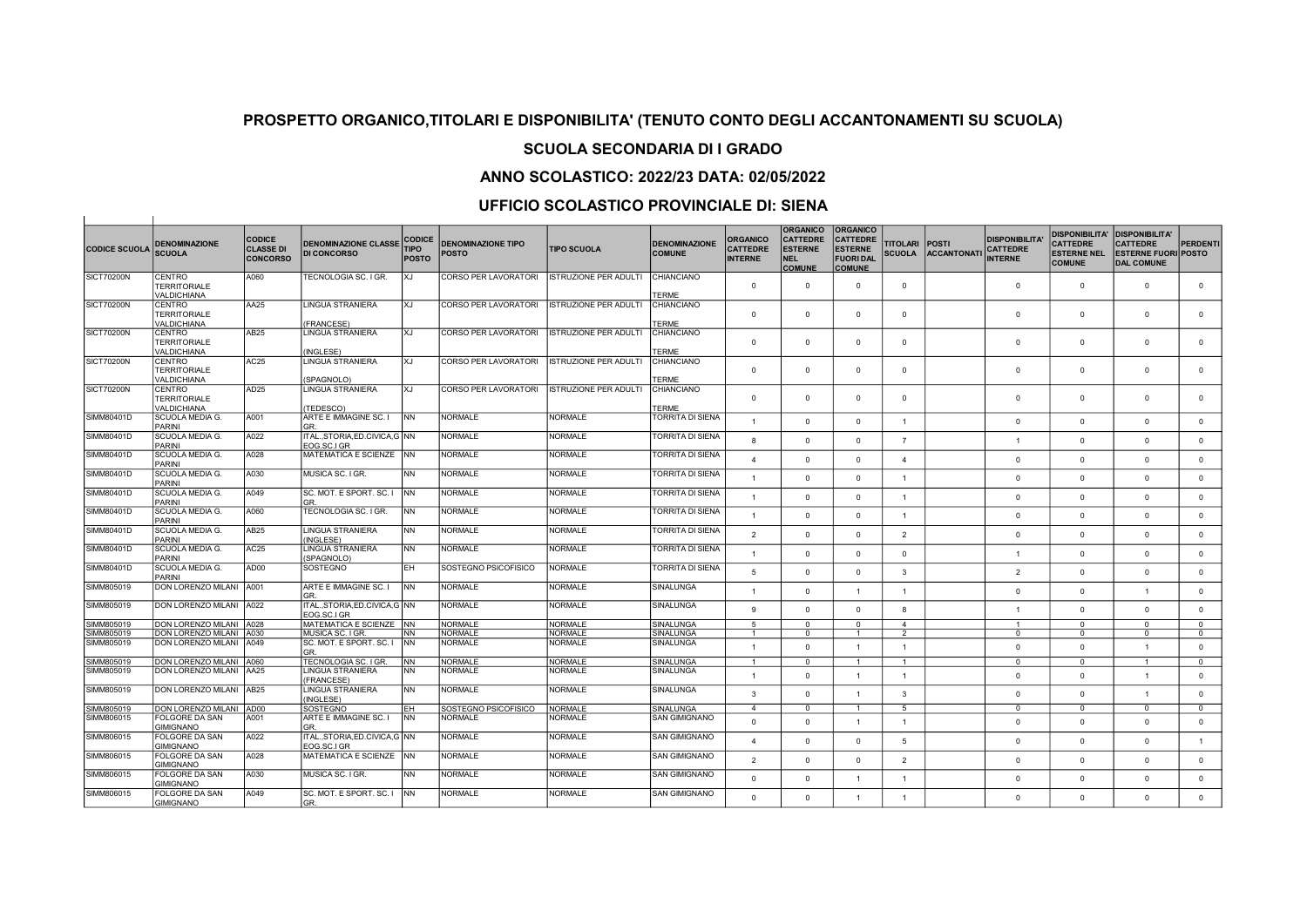#### SCUOLA SECONDARIA DI I GRADO

### ANNO SCOLASTICO: 2022/23 DATA: 02/05/2022

#### UFFICIO SCOLASTICO PROVINCIALE DI: SIENA

 $\mathbf{1}$ 

 $\sim$  1.

| <b>CODICE SCUOLA</b>     | <b>DENOMINAZIONE</b><br><b>SCUOLA</b>                      | <b>CODICE</b><br><b>CLASSE DI</b><br><b>CONCORSO</b> | <b>DENOMINAZIONE CLASSE</b><br><b>DI CONCORSO</b>      | <b>CODICE</b><br><b>TIPO</b><br><b>POSTO</b> | <b>DENOMINAZIONE TIPO</b><br><b>POSTO</b> | <b>TIPO SCUOLA</b>               | <b>DENOMINAZIONE</b><br><b>COMUNE</b>       | <b>ORGANICO</b><br><b>CATTEDRE</b><br><b>INTERNE</b> | <b>ORGANICO</b><br><b>CATTEDRE</b><br><b>ESTERNE</b><br>NEL<br><b>COMUNE</b> | <b>ORGANICO</b><br><b>CATTEDRE</b><br><b>ESTERNE</b><br><b>FUORI DAL</b><br><b>COMUNE</b> | <b>TITOLARI</b><br><b>SCUOLA</b> | <b>POSTI</b><br><b>ACCANTONATI</b> | <b>DISPONIBILITA</b><br><b>CATTEDRE</b><br><b>INTERNE</b> | <b>DISPONIBILITA'</b><br><b>CATTEDRE</b><br><b>ESTERNE NEL</b><br><b>COMUNE</b> | <b>DISPONIBILITA'</b><br><b>CATTEDRE</b><br><b>ESTERNE FUORI POSTO</b><br><b>DAL COMUNE</b> | <b>PERDENTI</b>             |
|--------------------------|------------------------------------------------------------|------------------------------------------------------|--------------------------------------------------------|----------------------------------------------|-------------------------------------------|----------------------------------|---------------------------------------------|------------------------------------------------------|------------------------------------------------------------------------------|-------------------------------------------------------------------------------------------|----------------------------------|------------------------------------|-----------------------------------------------------------|---------------------------------------------------------------------------------|---------------------------------------------------------------------------------------------|-----------------------------|
| SICT70200N               | CENTRO<br><b>TERRITORIALE</b><br><b>VALDICHIANA</b>        | A060                                                 | TECNOLOGIA SC. I GR.                                   | XJ                                           | <b>CORSO PER LAVORATORI</b>               | <b>ISTRUZIONE PER ADULTI</b>     | CHIANCIANO<br><b>TERME</b>                  | $^{\circ}$                                           | $\Omega$                                                                     | $^{\circ}$                                                                                | $\mathbf{0}$                     |                                    | $\overline{0}$                                            | $\mathbf{0}$                                                                    | $\mathbf{0}$                                                                                | $\mathbf{0}$                |
| <b>SICT70200N</b>        | CENTRO<br><b>TERRITORIALE</b><br>VALDICHIANA               | AA25                                                 | <b>LINGUA STRANIERA</b><br>(FRANCESE)                  | XJ.                                          | <b>CORSO PER LAVORATORI</b>               | <b>ISTRUZIONE PER ADULTI</b>     | CHIANCIANO<br><b>TERME</b>                  | $\Omega$                                             | $\Omega$                                                                     | $\Omega$                                                                                  | $\Omega$                         |                                    | $\Omega$                                                  | $\Omega$                                                                        | $\Omega$                                                                                    | $\Omega$                    |
| <b>SICT70200N</b>        | <b>CENTRO</b><br><b>TERRITORIALE</b><br><b>VALDICHIANA</b> | <b>AB25</b>                                          | LINGUA STRANIERA<br>(INGLESE)                          | lxJ                                          | <b>CORSO PER LAVORATORI</b>               | <b>ISTRUZIONE PER ADULTI</b>     | CHIANCIANO<br><b>TERME</b>                  | $^{\circ}$                                           | $\Omega$                                                                     | $^{\circ}$                                                                                | $^{\circ}$                       |                                    | $\mathbf 0$                                               | $\mathbf{0}$                                                                    | $\mathbf{0}$                                                                                | $\mathbf{0}$                |
| <b>SICT70200N</b>        | CENTRO<br><b>TERRITORIALE</b><br><b>VALDICHIANA</b>        | AC25                                                 | <b>LINGUA STRANIERA</b><br>(SPAGNOLO)                  | XJ                                           | <b>CORSO PER LAVORATORI</b>               | <b>ISTRUZIONE PER ADULTI</b>     | CHIANCIANO<br><b>TERME</b>                  | $^{\circ}$                                           | $\Omega$                                                                     | $^{\circ}$                                                                                | $^{\circ}$                       |                                    | $\mathbf 0$                                               | $\mathbf{0}$                                                                    | $\Omega$                                                                                    | $\mathbf{0}$                |
| <b>SICT70200N</b>        | <b>CENTRO</b><br><b>TERRITORIALE</b><br><b>VALDICHIANA</b> | AD <sub>25</sub>                                     | LINGUA STRANIERA<br>(TEDESCO)                          | XJ                                           | <b>CORSO PER LAVORATORI</b>               | <b>ISTRUZIONE PER ADULTI</b>     | CHIANCIANO<br><b>TERME</b>                  | $\Omega$                                             | $\Omega$                                                                     | $\Omega$                                                                                  | $\Omega$                         |                                    | $\Omega$                                                  | $\Omega$                                                                        | $\Omega$                                                                                    | $\mathbf{0}$                |
| SIMM80401D               | SCUOLA MEDIA G.<br><b>PARINI</b>                           | A001                                                 | ARTE E IMMAGINE SC. I<br>GR.                           | <b>INN</b>                                   | <b>NORMALE</b>                            | <b>NORMALE</b>                   | TORRITA DI SIENA                            | $\mathbf{1}$                                         | $\Omega$                                                                     | $\mathbf{0}$                                                                              | $\mathbf{1}$                     |                                    | $\mathbf{0}$                                              | $\mathbf{0}$                                                                    | $\mathbf{0}$                                                                                | $\overline{0}$              |
| SIMM80401D               | SCUOLA MEDIA G.<br><b>PARINI</b>                           | A022                                                 | ITALSTORIA.ED.CIVICA.G INN<br>EOG.SC.I GR              |                                              | <b>NORMALE</b>                            | <b>NORMALE</b>                   | <b>TORRITA DI SIENA</b>                     | 8                                                    | $\Omega$                                                                     | $\Omega$                                                                                  | $\overline{7}$                   |                                    | $\overline{1}$                                            | $\Omega$                                                                        | $\mathbf{0}$                                                                                | $\overline{0}$              |
| SIMM80401D               | SCUOLA MEDIA G.<br><b>PARINI</b>                           | A028                                                 | MATEMATICA E SCIENZE NN                                |                                              | <b>NORMALE</b>                            | <b>NORMALE</b>                   | TORRITA DI SIENA                            | $\Delta$                                             | $\Omega$                                                                     | $^{\circ}$                                                                                | $\mathbf{A}$                     |                                    | $\mathbf{0}$                                              | $\Omega$                                                                        | $\Omega$                                                                                    | $\overline{0}$              |
| SIMM80401D               | SCUOLA MEDIA G.<br><b>PARINI</b>                           | A030                                                 | MUSICA SC. I GR.                                       | NN                                           | <b>NORMALE</b>                            | <b>NORMALE</b>                   | <b>TORRITA DI SIENA</b>                     | $\overline{1}$                                       | $\Omega$                                                                     | $\Omega$                                                                                  | $\overline{1}$                   |                                    | $\mathbf{0}$                                              | $\Omega$                                                                        | $\Omega$                                                                                    | $\mathbf{0}$                |
| SIMM80401D<br>SIMM80401D | SCUOLA MEDIA G.<br><b>PARINI</b><br>SCUOLA MEDIA G.        | A049<br>A060                                         | SC. MOT. E SPORT. SC. I<br>GR.<br>TECNOLOGIA SC. I GR. | <b>INN</b><br><b>INN</b>                     | <b>NORMALE</b><br>NORMALE                 | <b>NORMALE</b><br><b>NORMALE</b> | TORRITA DI SIENA<br><b>TORRITA DI SIENA</b> | $\overline{1}$                                       | $\Omega$                                                                     | $\Omega$                                                                                  | $\overline{1}$                   |                                    | $\Omega$                                                  | $\mathbf{0}$                                                                    | $\Omega$                                                                                    | $\mathbf{0}$                |
| SIMM80401D               | <b>PARINI</b><br>SCUOLA MEDIA G.                           | AB25                                                 | LINGUA STRANIERA                                       | <b>NN</b>                                    | <b>NORMALE</b>                            | <b>NORMALE</b>                   | <b>TORRITA DI SIENA</b>                     | $\overline{1}$                                       | $\Omega$                                                                     | $\mathbf{0}$                                                                              | $\overline{1}$                   |                                    | $\mathbf{0}$                                              | $\mathbf{0}$                                                                    | $\mathbf{0}$                                                                                | $\circ$                     |
| SIMM80401D               | <b>PARINI</b><br>SCUOLA MEDIA G.                           | AC25                                                 | (INGLESE)<br>LINGUA STRANIERA                          | INN.                                         | NORMAL F                                  | <b>NORMALE</b>                   | <b>TORRITA DI SIENA</b>                     | 2                                                    | $\Omega$                                                                     | $\mathbf{0}$                                                                              | $\overline{2}$                   |                                    | $\mathbf{0}$                                              | $\Omega$                                                                        | $\mathbf{0}$                                                                                | $\overline{0}$              |
| SIMM80401D               | <b>PARINI</b><br>SCUOLA MEDIA G.                           | AD00                                                 | (SPAGNOLO)<br>SOSTEGNO                                 | EH.                                          | SOSTEGNO PSICOFISICO                      | NORMALE                          | TORRITA DI SIENA                            | $\overline{1}$<br>5                                  | $\Omega$                                                                     | $\mathbf{0}$                                                                              | $\Omega$                         |                                    | $\overline{1}$                                            | $\Omega$                                                                        | $\mathbf{0}$                                                                                | $\overline{0}$              |
| SIMM805019               | <b>PARINI</b><br>DON LORENZO MILANI A001                   |                                                      | ARTE E IMMAGINE SC.                                    | INN.                                         | <b>NORMALE</b>                            | <b>NORMALE</b>                   | SINALUNGA                                   | $\overline{1}$                                       | $\Omega$<br>$\Omega$                                                         | $\Omega$<br>$\overline{1}$                                                                | $\mathbf{3}$<br>$\overline{1}$   |                                    | $\overline{2}$<br>$\Omega$                                | $\Omega$<br>$\mathbf 0$                                                         | $\Omega$<br>$\overline{1}$                                                                  | $\mathbf{0}$<br>$\mathbf 0$ |
| SIMM805019               | DON LORENZO MILANI 1A022                                   |                                                      | GR.<br>ITAL., STORIA, ED.CIVICA, G NN                  |                                              | <b>NORMALE</b>                            | <b>NORMALE</b>                   | SINALUNGA                                   | 9                                                    | $\Omega$                                                                     | $\Omega$                                                                                  | 8                                |                                    | $\overline{1}$                                            | $\mathbf{0}$                                                                    | $\mathbf{0}$                                                                                | $\mathbf{0}$                |
| SIMM805019               | DON LORENZO MILANI   A028                                  |                                                      | EOG.SC.I GR<br>MATEMATICA E SCIENZE NN                 |                                              | <b>NORMALE</b>                            | <b>NORMALE</b>                   | SINALUNGA                                   | $\overline{5}$                                       | $\Omega$                                                                     | $\mathbf{0}$                                                                              | $\overline{4}$                   |                                    | $\overline{1}$                                            | $\Omega$                                                                        | $\Omega$                                                                                    | $\overline{0}$              |
| SIMM805019               | DON LORENZO MILANI 4030                                    |                                                      | MUSICA SC. I GR.                                       | NN                                           | <b>NORMALE</b>                            | <b>NORMALE</b>                   | SINALUNGA                                   | $\overline{1}$                                       | $\Omega$                                                                     | $\mathbf{1}$                                                                              | 2                                |                                    | $^{\circ}$                                                | $\mathbf{0}$                                                                    | $\Omega$                                                                                    | $^{\circ}$                  |
| SIMM805019               | DON LORENZO MILANI 1A049                                   |                                                      | SC. MOT. E SPORT. SC. I<br>GR                          | <b>INN</b>                                   | <b>NORMALE</b>                            | <b>NORMALE</b>                   | SINALUNGA                                   | $\mathbf{1}$                                         | $\Omega$                                                                     | $\overline{1}$                                                                            | $\overline{1}$                   |                                    | $\mathbf{0}$                                              | $\Omega$                                                                        |                                                                                             | $\mathbf 0$                 |
| SIMM805019               | DON LORENZO MILANI A060                                    |                                                      | TECNOLOGIA SC. I GR.                                   | <b>NN</b>                                    | NORMALE                                   | <b>NORMALE</b>                   | SINALUNGA                                   | $\mathbf{1}$                                         | $\Omega$                                                                     | $\overline{1}$                                                                            | $\overline{1}$                   |                                    | $^{\circ}$                                                | $\Omega$                                                                        |                                                                                             | $^{\circ}$                  |
| SIMM805019               | DON LORENZO MILANI   AA25                                  |                                                      | <b>LINGUA STRANIERA</b><br>(FRANCESE)                  | NN                                           | <b>NORMALE</b>                            | <b>NORMALE</b>                   | SINALUNGA                                   | $\overline{1}$                                       | $\Omega$                                                                     |                                                                                           | $\overline{1}$                   |                                    | $\Omega$                                                  | $\Omega$                                                                        |                                                                                             | $\Omega$                    |
| SIMM805019               | DON LORENZO MILANI AB25                                    |                                                      | LINGUA STRANIERA<br>(INGLESE)                          | INN.                                         | <b>NORMALE</b>                            | <b>NORMALE</b>                   | SINALUNGA                                   | 3                                                    | $\Omega$                                                                     |                                                                                           | 3                                |                                    | $\Omega$                                                  | $\mathbf 0$                                                                     |                                                                                             | $\circ$                     |
| SIMM805019               | DON LORENZO MILANI AD00                                    |                                                      | SOSTEGNO                                               | FH.                                          | ISOSTEGNO PSICOFISICO                     | <b>NORMALE</b>                   | SINALUNGA                                   | $\overline{4}$                                       | $\Omega$                                                                     | $\overline{1}$                                                                            | 5 <sup>5</sup>                   |                                    | $\Omega$                                                  | $\Omega$                                                                        | $\Omega$                                                                                    | $\overline{0}$              |
| SIMM806015               | FOLGORE DA SAN<br><b>GIMIGNANO</b>                         | A001                                                 | ARTE E IMMAGINE SC. I<br>GR.                           | <b>INN</b>                                   | <b>NORMALE</b>                            | <b>NORMALE</b>                   | SAN GIMIGNANO                               | $\Omega$                                             | $\Omega$                                                                     |                                                                                           | $\mathbf{1}$                     |                                    | $\Omega$                                                  | $\Omega$                                                                        | $\Omega$                                                                                    | $\Omega$                    |
| SIMM806015               | FOLGORE DA SAN<br><b>GIMIGNANO</b>                         | A022                                                 | ITALSTORIA.ED.CIVICA.G INN<br>EOG.SC.I GR              |                                              | <b>NORMALE</b>                            | <b>NORMALE</b>                   | <b>SAN GIMIGNANO</b>                        | $\overline{4}$                                       | $\Omega$                                                                     | $\mathbf{0}$                                                                              | 5                                |                                    | $\Omega$                                                  | $\Omega$                                                                        | $\Omega$                                                                                    | $\overline{1}$              |
| SIMM806015               | FOLGORE DA SAN<br><b>GIMIGNANO</b>                         | A028                                                 | MATEMATICA E SCIENZE NN                                |                                              | <b>NORMALE</b>                            | <b>NORMALE</b>                   | SAN GIMIGNANO                               | 2                                                    | $\Omega$                                                                     | $\mathbf{0}$                                                                              | $\overline{2}$                   |                                    | $\mathbf 0$                                               | $\Omega$                                                                        | $\mathbf{0}$                                                                                | $\mathbf{0}$                |
| SIMM806015               | FOLGORE DA SAN<br><b>GIMIGNANO</b>                         | A030                                                 | MUSICA SC. I GR.                                       | INN                                          | <b>NORMALE</b>                            | <b>NORMALE</b>                   | <b>SAN GIMIGNANO</b>                        | $\Omega$                                             | $\Omega$                                                                     |                                                                                           | $\overline{1}$                   |                                    | $\Omega$                                                  | $\Omega$                                                                        | $\Omega$                                                                                    | $\overline{0}$              |
| SIMM806015               | FOLGORE DA SAN<br><b>GIMIGNANO</b>                         | A049                                                 | SC. MOT. E SPORT. SC. I<br>GR.                         | <b>INN</b>                                   | <b>NORMALE</b>                            | <b>NORMALE</b>                   | <b>SAN GIMIGNANO</b>                        | $\Omega$                                             | $\Omega$                                                                     |                                                                                           |                                  |                                    | $\Omega$                                                  | $\Omega$                                                                        | $\Omega$                                                                                    | $\mathbf{0}$                |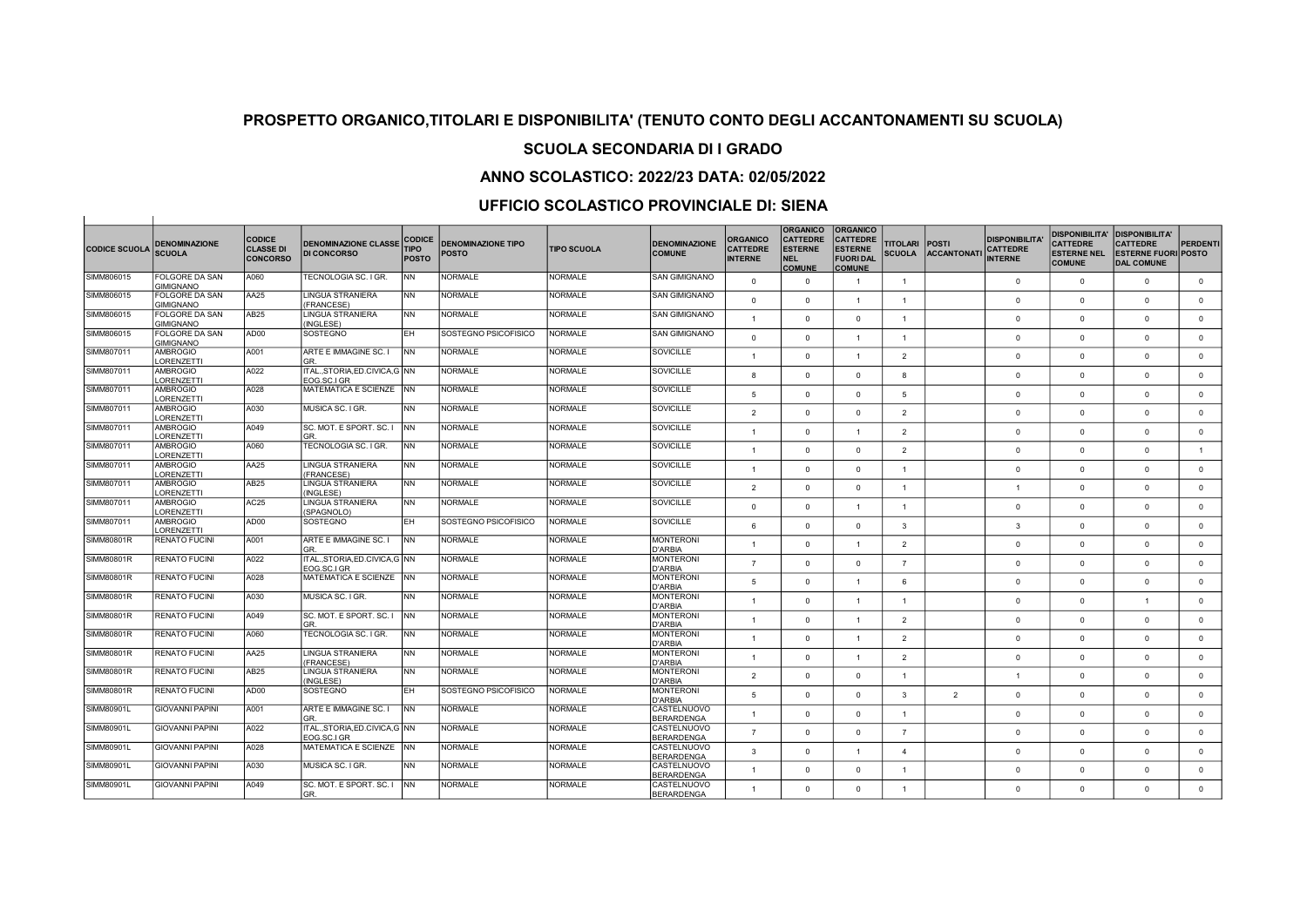## SCUOLA SECONDARIA DI I GRADO

### ANNO SCOLASTICO: 2022/23 DATA: 02/05/2022

| <b>CODICE SCUOLA</b> | <b>DENOMINAZIONE</b><br><b>SCUOLA</b>     | <b>CODICE</b><br><b>CLASSE DI</b><br><b>CONCORSO</b> | <b>DENOMINAZIONE CLASSE</b><br><b>DI CONCORSO</b> | <b>CODICE</b><br><b>TIPO</b><br><b>POSTO</b> | <b>DENOMINAZIONE TIPO</b><br><b>POSTO</b> | <b>TIPO SCUOLA</b> | <b>DENOMINAZIONE</b><br><b>COMUNE</b>                 | <b>ORGANICO</b><br><b>CATTEDRE</b><br><b>INTERNE</b> | <b>ORGANICO</b><br><b>CATTEDRE</b><br><b>ESTERNE</b><br><b>NEL</b><br><b>COMUNE</b> | <b>ORGANICO</b><br><b>CATTEDRE</b><br><b>ESTERNE</b><br><b>FUORI DAL</b><br><b>COMUNE</b> | <b>TITOLARI</b><br><b>SCUOLA</b> | <b>POSTI</b><br><b>ACCANTONATI</b> | <b>DISPONIBILITA</b><br><b>CATTEDRE</b><br><b>INTERNE</b> | <b>DISPONIBILITA'</b><br><b>CATTEDRE</b><br><b>ESTERNE NEL</b><br><b>COMUNE</b> | <b>DISPONIBILITA'</b><br><b>CATTEDRE</b><br><b>ESTERNE FUORI POSTO</b><br><b>DAL COMUNE</b> | PERDENTI       |
|----------------------|-------------------------------------------|------------------------------------------------------|---------------------------------------------------|----------------------------------------------|-------------------------------------------|--------------------|-------------------------------------------------------|------------------------------------------------------|-------------------------------------------------------------------------------------|-------------------------------------------------------------------------------------------|----------------------------------|------------------------------------|-----------------------------------------------------------|---------------------------------------------------------------------------------|---------------------------------------------------------------------------------------------|----------------|
| SIMM806015           | <b>FOLGORE DA SAN</b><br><b>GIMIGNANO</b> | A060                                                 | TECNOLOGIA SC. I GR.                              | <b>NN</b>                                    | <b>NORMALE</b>                            | <b>NORMALE</b>     | <b>SAN GIMIGNANO</b>                                  | $\overline{0}$                                       | $\Omega$                                                                            | $\mathbf{1}$                                                                              | $\overline{1}$                   |                                    | $\Omega$                                                  | $\overline{0}$                                                                  | $\mathbf{0}$                                                                                | $\mathbf{0}$   |
| SIMM806015           | FOLGORE DA SAN<br><b>GIMIGNANO</b>        | AA25                                                 | <b>LINGUA STRANIERA</b><br>(FRANCESE)             | <b>NN</b>                                    | <b>NORMALE</b>                            | <b>NORMALE</b>     | <b>SAN GIMIGNANO</b>                                  | $\Omega$                                             | $\Omega$                                                                            | $\overline{1}$                                                                            | $\overline{1}$                   |                                    | $\Omega$                                                  | $\Omega$                                                                        | $\Omega$                                                                                    | $\mathbf 0$    |
| SIMM806015           | FOLGORE DA SAN<br><b>GIMIGNANO</b>        | AB25                                                 | <b>LINGUA STRANIERA</b><br>(INGLESE)              | <b>NN</b>                                    | <b>NORMALE</b>                            | <b>NORMALE</b>     | <b>SAN GIMIGNANO</b>                                  | $\overline{1}$                                       | $\Omega$                                                                            | $\mathbf{0}$                                                                              | $\overline{1}$                   |                                    | $\Omega$                                                  | $\mathbf{0}$                                                                    | $\mathbf{0}$                                                                                | $\mathbf 0$    |
| SIMM806015           | FOLGORE DA SAN                            | AD00                                                 | SOSTEGNO                                          | EH.                                          | SOSTEGNO PSICOFISICO                      | <b>NORMALE</b>     | <b>SAN GIMIGNANO</b>                                  | $\Omega$                                             | $\Omega$                                                                            | $\overline{1}$                                                                            | $\overline{1}$                   |                                    | $\Omega$                                                  | $\Omega$                                                                        | $\Omega$                                                                                    | $\Omega$       |
| SIMM807011           | <b>GIMIGNANO</b><br><b>AMBROGIO</b>       | A001                                                 | ARTE E IMMAGINE SC. I                             | NN                                           | <b>NORMALE</b>                            | NORMALE            | <b>SOVICILLE</b>                                      | $\overline{1}$                                       | $\Omega$                                                                            | $\mathbf{1}$                                                                              | $\overline{2}$                   |                                    | $\Omega$                                                  | $\Omega$                                                                        | $\Omega$                                                                                    | $\mathbf{0}$   |
| SIMM807011           | LORENZETTI<br><b>AMBROGIO</b>             | A022                                                 | GR.<br>ITAL., STORIA, ED.CIVICA, G NN             |                                              | <b>NORMALE</b>                            | <b>NORMALE</b>     | <b>SOVICILLE</b>                                      | 8                                                    | $\Omega$                                                                            | $\mathbf{0}$                                                                              | 8                                |                                    | $\Omega$                                                  | $\mathbf{0}$                                                                    | $\Omega$                                                                                    | $\circ$        |
| SIMM807011           | <b>ORENZETTI</b><br><b>AMBROGIO</b>       | A028                                                 | EOG.SC.I GR<br>IMATEMATICA E SCIENZE              | <b>INN</b>                                   | NORMALE                                   | <b>NORMALE</b>     | SOVICILLE                                             | 5                                                    | $\Omega$                                                                            | $\circ$                                                                                   | 5                                |                                    | $\Omega$                                                  | $\overline{0}$                                                                  | $\Omega$                                                                                    | $\mathbf{0}$   |
| SIMM807011           | LORENZETTI<br><b>AMBROGIO</b>             | A030                                                 | MUSICA SC. I GR.                                  | <b>NN</b>                                    | <b>NORMALE</b>                            | <b>NORMALE</b>     | <b>SOVICILLE</b>                                      | $\overline{2}$                                       | $\Omega$                                                                            | $\circ$                                                                                   | $\overline{2}$                   |                                    | $\Omega$                                                  | $\Omega$                                                                        | $\mathbf{0}$                                                                                | $\mathbf 0$    |
| SIMM807011           | LORENZETTI<br><b>AMBROGIO</b>             | A049                                                 | SC. MOT. E SPORT. SC. I                           | <b>INN</b>                                   | <b>NORMALE</b>                            | <b>NORMALE</b>     | <b>SOVICILLE</b>                                      | $\mathbf{1}$                                         | $\Omega$                                                                            | $\overline{1}$                                                                            | $\overline{2}$                   |                                    | $\Omega$                                                  | $\Omega$                                                                        | $\Omega$                                                                                    | $\mathbf{0}$   |
| SIMM807011           | LORENZETTI<br><b>AMBROGIO</b>             | A060                                                 | GR<br>TECNOLOGIA SC. I GR.                        | <b>INN</b>                                   | <b>NORMALE</b>                            | <b>NORMALE</b>     | <b>SOVICILLE</b>                                      | $\overline{1}$                                       | $\Omega$                                                                            | $\Omega$                                                                                  | $\overline{2}$                   |                                    | $\Omega$                                                  | $\Omega$                                                                        | $\Omega$                                                                                    | $\overline{1}$ |
| SIMM807011           | LORENZETTI<br><b>AMBROGIO</b>             | AA25                                                 | LINGUA STRANIERA                                  | <b>NN</b>                                    | <b>NORMALE</b>                            | <b>NORMALE</b>     | <b>SOVICILLE</b>                                      | $\mathbf{1}$                                         | $\Omega$                                                                            | $\mathbf{0}$                                                                              | $\overline{1}$                   |                                    | $\Omega$                                                  | $\overline{0}$                                                                  | $\mathbf{0}$                                                                                | $\mathbf 0$    |
| SIMM807011           | LORENZETTI<br><b>AMBROGIO</b>             | AB <sub>25</sub>                                     | (FRANCESE)<br>LINGUA STRANIERA                    | <b>NN</b>                                    | <b>NORMALE</b>                            | <b>NORMALE</b>     | <b>SOVICILLE</b>                                      | $\overline{2}$                                       | $\Omega$                                                                            | $\circ$                                                                                   | $\overline{1}$                   |                                    | $\overline{1}$                                            | $\Omega$                                                                        | $\Omega$                                                                                    | $\mathbf{0}$   |
| SIMM807011           | LORENZETTI<br><b>AMBROGIO</b>             | AC25                                                 | (INGLESE)<br>LINGUA STRANIERA                     | <b>NN</b>                                    | NORMALE                                   | <b>NORMALE</b>     | <b>SOVICILLE</b>                                      | $\Omega$                                             | $\Omega$                                                                            | $\overline{1}$                                                                            | $\overline{1}$                   |                                    | $\Omega$                                                  | $\Omega$                                                                        | $\Omega$                                                                                    | $\mathbf{0}$   |
| SIMM807011           | LORENZETTI<br><b>AMBROGIO</b>             | AD00                                                 | (SPAGNOLO)<br>SOSTEGNO                            | EH                                           | SOSTEGNO PSICOFISICO                      | <b>NORMALE</b>     | <b>SOVICILLE</b>                                      | 6                                                    | $\Omega$                                                                            | $\circ$                                                                                   | 3                                |                                    | 3                                                         | $\mathbf{0}$                                                                    | $\Omega$                                                                                    | $\mathbf{0}$   |
| SIMM80801R           | <b>LORENZETTI</b><br><b>RENATO FUCINI</b> | A001                                                 | ARTE E IMMAGINE SC. I                             | <b>INN</b>                                   | <b>NORMALE</b>                            | <b>NORMALE</b>     | <b>MONTERONI</b>                                      | $\overline{1}$                                       | $\Omega$                                                                            | $\mathbf{1}$                                                                              | $\overline{2}$                   |                                    | $\Omega$                                                  | $\Omega$                                                                        | $\Omega$                                                                                    | $\mathbf{0}$   |
| SIMM80801R           | <b>RENATO FUCINI</b>                      | A022                                                 | GR<br>ITAL., STORIA, ED.CIVICA, G   NN            |                                              | <b>NORMALE</b>                            | <b>NORMALE</b>     | D'ARBIA<br><b>MONTERONI</b>                           | $\overline{7}$                                       | $\Omega$                                                                            | $\circ$                                                                                   | $\overline{7}$                   |                                    | $\Omega$                                                  | $\Omega$                                                                        | $\Omega$                                                                                    | $\mathbf{0}$   |
| SIMM80801R           | <b>RENATO FUCINI</b>                      | A028                                                 | EOG.SC.I GR<br>MATEMATICA E SCIENZE               | <b>INN</b>                                   | <b>NORMALE</b>                            | NORMALE            | D'ARBIA<br><b>MONTERONI</b><br>D'ARBIA                | 5                                                    | $\overline{0}$                                                                      | $\mathbf{1}$                                                                              | 6                                |                                    | $\Omega$                                                  | $\Omega$                                                                        | $^{\circ}$                                                                                  | $\mathbf 0$    |
| SIMM80801R           | <b>RENATO FUCINI</b>                      | A030                                                 | MUSICA SC. I GR.                                  | <b>NN</b>                                    | <b>NORMALE</b>                            | <b>NORMALE</b>     | <b>MONTERONI</b>                                      | $\mathbf{1}$                                         | $\Omega$                                                                            | $\overline{1}$                                                                            | $\overline{1}$                   |                                    | $\Omega$                                                  | $\Omega$                                                                        | $\overline{1}$                                                                              | $\mathbf 0$    |
| SIMM80801R           | <b>RENATO FUCINI</b>                      | A049                                                 | SC. MOT. E SPORT. SC. I<br>GR                     | INN.                                         | NORMALE                                   | <b>NORMALE</b>     | D'ARBIA<br><b>MONTERONI</b>                           | $\overline{1}$                                       | $\Omega$                                                                            | $\overline{1}$                                                                            | 2                                |                                    | $\Omega$                                                  | $\overline{0}$                                                                  | $\Omega$                                                                                    | $\overline{0}$ |
| SIMM80801R           | <b>RENATO FUCINI</b>                      | A060                                                 | TECNOLOGIA SC. I GR.                              | INN.                                         | <b>NORMALE</b>                            | <b>NORMALE</b>     | D'ARBIA<br><b>MONTERONI</b>                           | 1                                                    | $\Omega$                                                                            | $\overline{1}$                                                                            | $\overline{2}$                   |                                    | $\Omega$                                                  | $\Omega$                                                                        | $\Omega$                                                                                    | $\mathbf{0}$   |
| SIMM80801R           | <b>RENATO FUCINI</b>                      | AA25                                                 | LINGUA STRANIERA                                  | <b>NN</b>                                    | NORMALE                                   | <b>NORMALE</b>     | D'ARBIA<br><b>MONTERONI</b>                           | $\overline{1}$                                       | $\Omega$                                                                            | $\overline{1}$                                                                            | 2                                |                                    | $\Omega$                                                  | $\overline{0}$                                                                  | $^{\circ}$                                                                                  | $\mathbf{0}$   |
| SIMM80801R           | <b>RENATO FUCINI</b>                      | AB <sub>25</sub>                                     | (FRANCESE)<br>LINGUA STRANIERA                    | <b>NN</b>                                    | <b>NORMALE</b>                            | <b>NORMALE</b>     | D'ARBIA<br><b>MONTERONI</b>                           | $\overline{2}$                                       | $\Omega$                                                                            | $\circ$                                                                                   | $\overline{1}$                   |                                    | $\overline{1}$                                            | $\Omega$                                                                        | $\Omega$                                                                                    | $\mathbf{0}$   |
| SIMM80801R           | RENATO FUCINI                             | AD00                                                 | (INGLESE)<br>SOSTEGNO                             | EH                                           | SOSTEGNO PSICOFISICO                      | <b>NORMALE</b>     | D'ARBIA<br><b>MONTERONI</b>                           | $\overline{5}$                                       | $\Omega$                                                                            | $\mathbf{0}$                                                                              | 3                                | $\overline{2}$                     | $\Omega$                                                  | $\Omega$                                                                        | $\mathbf{0}$                                                                                | $\mathbf 0$    |
| SIMM80901L           | <b>GIOVANNI PAPINI</b>                    | A001                                                 | ARTE E IMMAGINE SC. I                             | <b>NN</b>                                    | <b>NORMALE</b>                            | <b>NORMALE</b>     | D'ARBIA<br>CASTELNUOVO                                | 1                                                    | $\Omega$                                                                            | $\circ$                                                                                   | -1                               |                                    | $\Omega$                                                  | $\Omega$                                                                        | $\Omega$                                                                                    | $\mathbf{0}$   |
| SIMM80901L           | <b>GIOVANNI PAPINI</b>                    | A022                                                 | GR.<br>ITAL., STORIA, ED.CIVICA, G NN             |                                              | <b>NORMALE</b>                            | <b>NORMALE</b>     | <b>BERARDENGA</b><br>CASTELNUOVO                      | $\overline{7}$                                       | $\Omega$                                                                            | $\circ$                                                                                   | $\overline{7}$                   |                                    | $\Omega$                                                  | $\Omega$                                                                        | $\Omega$                                                                                    | $\mathbf{0}$   |
| SIMM80901L           | <b>GIOVANNI PAPINI</b>                    | A028                                                 | FOG SC LGR<br>MATEMATICA E SCIENZE                | <b>NN</b>                                    | <b>NORMALE</b>                            | <b>NORMALE</b>     | <b>BERARDENGA</b><br>CASTELNUOVO                      | 3                                                    | $\Omega$                                                                            | -1                                                                                        | $\Delta$                         |                                    | $\Omega$                                                  | $\overline{0}$                                                                  | $\Omega$                                                                                    | $\mathbf{0}$   |
| SIMM80901L           | <b>GIOVANNI PAPINI</b>                    | A030                                                 | MUSICA SC. I GR.                                  | <b>NN</b>                                    | <b>NORMALE</b>                            | <b>NORMALE</b>     | <b>BERARDENGA</b><br>CASTELNUOVO                      | $\overline{1}$                                       | $\Omega$                                                                            | $\circ$                                                                                   | $\mathbf{1}$                     |                                    | $\Omega$                                                  | $\overline{0}$                                                                  | $\mathbf{0}$                                                                                | $\mathbf 0$    |
| SIMM80901L           | <b>GIOVANNI PAPINI</b>                    | A049                                                 | SC. MOT. E SPORT. SC. I<br>GR.                    | I NN                                         | NORMALE                                   | <b>NORMALE</b>     | <b>BERARDENGA</b><br>CASTELNUOVO<br><b>BERARDENGA</b> | $\mathbf{1}$                                         | $\Omega$                                                                            | $\Omega$                                                                                  | $\overline{1}$                   |                                    | $\Omega$                                                  | $\Omega$                                                                        | $\Omega$                                                                                    | $\mathbf 0$    |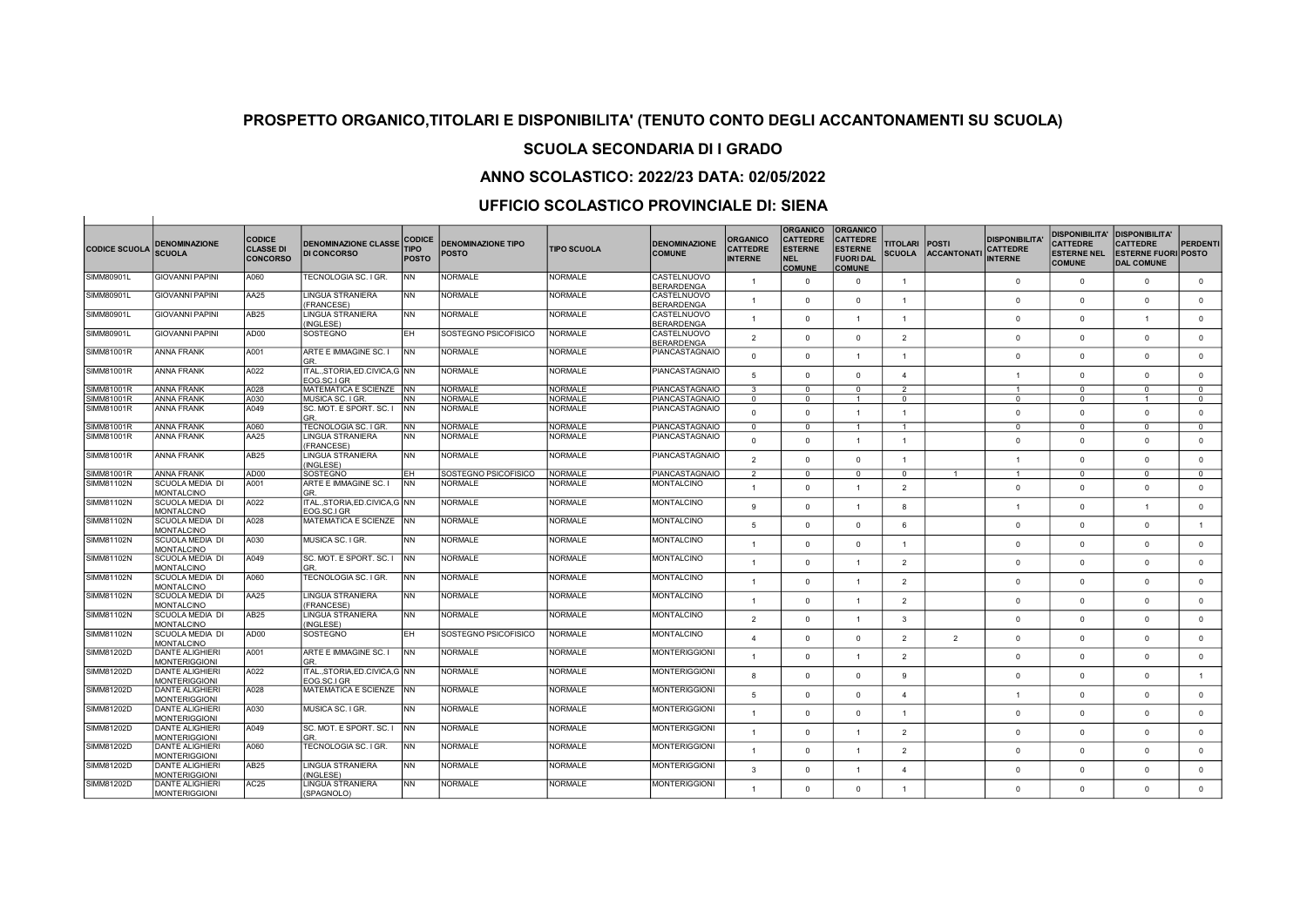## SCUOLA SECONDARIA DI I GRADO

### ANNO SCOLASTICO: 2022/23 DATA: 02/05/2022

| <b>CODICE SCUOLA</b> | <b>DENOMINAZIONE</b><br><b>SCUOLA</b>          | <b>CODICE</b><br><b>CLASSE DI</b><br><b>CONCORSO</b> | <b>DENOMINAZIONE CLASSE</b><br><b>DI CONCORSO</b> | <b>CODICE</b><br><b>TIPO</b><br><b>POSTO</b> | <b>DENOMINAZIONE TIPO</b><br><b>POSTO</b> | <b>TIPO SCUOLA</b> | <b>DENOMINAZIONE</b><br><b>COMUNE</b> | <b>ORGANICO</b><br><b>CATTEDRE</b><br><b>INTERNE</b> | <b>ORGANICO</b><br><b>CATTEDRE</b><br><b>ESTERNE</b><br><b>NEL</b><br><b>COMUNE</b> | <b>ORGANICO</b><br><b>CATTEDRE</b><br><b>ESTERNE</b><br><b>FUORI DAL</b><br><b>COMUNE</b> | <b>TITOLARI</b><br><b>SCUOLA</b> | <b>POSTI</b><br><b>ACCANTONATI</b> | <b>DISPONIBILITA</b><br><b>CATTEDRE</b><br><b>INTERNE</b> | <b>DISPONIBILITA'</b><br><b>CATTEDRE</b><br><b>ESTERNE NEL</b><br><b>COMUNE</b> | <b>DISPONIBILITA'</b><br><b>CATTEDRE</b><br><b>ESTERNE FUORI POSTO</b><br><b>DAL COMUNE</b> | PERDENTI       |
|----------------------|------------------------------------------------|------------------------------------------------------|---------------------------------------------------|----------------------------------------------|-------------------------------------------|--------------------|---------------------------------------|------------------------------------------------------|-------------------------------------------------------------------------------------|-------------------------------------------------------------------------------------------|----------------------------------|------------------------------------|-----------------------------------------------------------|---------------------------------------------------------------------------------|---------------------------------------------------------------------------------------------|----------------|
| SIMM80901L           | <b>GIOVANNI PAPINI</b>                         | A060                                                 | TECNOLOGIA SC. I GR.                              | <b>NN</b>                                    | <b>NORMALE</b>                            | <b>NORMALE</b>     | CASTELNUOVO<br><b>BERARDENGA</b>      | $\overline{1}$                                       | $\Omega$                                                                            | $\circ$                                                                                   | $\overline{1}$                   |                                    | $\Omega$                                                  | $\overline{0}$                                                                  | $\mathbf{0}$                                                                                | $\mathbf{0}$   |
| SIMM80901L           | <b>GIOVANNI PAPINI</b>                         | AA25                                                 | <b>LINGUA STRANIERA</b><br>(FRANCESE)             | <b>NN</b>                                    | <b>NORMALE</b>                            | <b>NORMALE</b>     | CASTELNUOVO<br><b>BERARDENGA</b>      | $\overline{1}$                                       | $\Omega$                                                                            | $\circ$                                                                                   | $\overline{1}$                   |                                    | $\Omega$                                                  | $\Omega$                                                                        | $\Omega$                                                                                    | $\mathbf{0}$   |
| SIMM80901L           | <b>GIOVANNI PAPINI</b>                         | AB25                                                 | <b>LINGUA STRANIERA</b><br>(INGLESE)              | <b>NN</b>                                    | <b>NORMALE</b>                            | <b>NORMALE</b>     | CASTELNUOVO<br><b>BERARDENGA</b>      | $\overline{1}$                                       | $\Omega$                                                                            | $\overline{1}$                                                                            | $\overline{1}$                   |                                    | $\mathbf 0$                                               | $\Omega$                                                                        | $\overline{1}$                                                                              | $\mathbf{0}$   |
| SIMM80901L           | <b>GIOVANNI PAPINI</b>                         | AD00                                                 | SOSTEGNO                                          | EH.                                          | SOSTEGNO PSICOFISICO                      | <b>NORMALE</b>     | CASTELNUOVO                           | $\overline{2}$                                       | $\Omega$                                                                            | $\circ$                                                                                   | $\overline{2}$                   |                                    | $\Omega$                                                  | $\Omega$                                                                        | $\Omega$                                                                                    | $\mathbf{0}$   |
| SIMM81001R           | <b>ANNA FRANK</b>                              | A001                                                 | ARTE E IMMAGINE SC. I                             | <b>INN</b>                                   | <b>NORMALE</b>                            | <b>NORMALE</b>     | <b>BERARDENGA</b><br>PIANCASTAGNAIO   | $\mathbf{0}$                                         | $\Omega$                                                                            | $\mathbf{1}$                                                                              | $\overline{1}$                   |                                    | $\Omega$                                                  | $\Omega$                                                                        | $\Omega$                                                                                    | $\mathbf{0}$   |
| <b>SIMM81001R</b>    | <b>ANNA FRANK</b>                              | A022                                                 | GR.<br>ITAL., STORIA, ED.CIVICA, G NN             |                                              | <b>NORMALE</b>                            | <b>NORMALE</b>     | <b>PIANCASTAGNAIO</b>                 | $\overline{5}$                                       | $\Omega$                                                                            | $\circ$                                                                                   | $\overline{4}$                   |                                    | $\overline{1}$                                            | $\overline{0}$                                                                  | $\mathbf{0}$                                                                                | $\mathbf{0}$   |
|                      |                                                |                                                      | EOG.SC.I GR                                       |                                              |                                           | <b>NORMALE</b>     |                                       |                                                      |                                                                                     |                                                                                           |                                  |                                    |                                                           |                                                                                 |                                                                                             |                |
| SIMM81001R           | <b>ANNA FRANK</b><br><b>ANNA FRANK</b>         | A028<br>A030                                         | MATEMATICA E SCIENZE<br>MUSICA SC. I GR.          | <b>INN</b>                                   | <b>NORMALE</b><br><b>NORMALE</b>          | <b>NORMALE</b>     | <b>PIANCASTAGNAIO</b>                 | $\mathbf{3}$                                         | $\Omega$<br>$\Omega$                                                                | $\Omega$                                                                                  | $\overline{2}$                   |                                    | $\overline{1}$<br>$\Omega$                                | $\Omega$<br>$\Omega$                                                            | $\Omega$<br>$\overline{1}$                                                                  | $\Omega$       |
| SIMM81001R           |                                                |                                                      |                                                   | <b>NN</b>                                    |                                           |                    | <b>PIANCASTAGNAIO</b>                 | $\overline{0}$                                       |                                                                                     | $\mathbf{1}$                                                                              | $\mathbf{0}$                     |                                    |                                                           |                                                                                 |                                                                                             | $\mathbf{0}$   |
| SIMM81001R           | <b>ANNA FRANK</b>                              | A049                                                 | SC. MOT. E SPORT. SC. I<br>GR.                    | <b>INN</b>                                   | NORMALE                                   | <b>NORMALE</b>     | PIANCASTAGNAIO                        | $\Omega$                                             | $\Omega$                                                                            | $\mathbf{1}$                                                                              | $\overline{1}$                   |                                    | $\Omega$                                                  | $\Omega$                                                                        | $\Omega$                                                                                    | $\mathbf{0}$   |
| SIMM81001R           | <b>ANNA FRANK</b>                              | A060                                                 | TECNOLOGIA SC. I GR                               | <b>NN</b>                                    | NORMALE                                   | <b>NORMALE</b>     | <b>PIANCASTAGNAIO</b>                 | $\mathbf 0$                                          | $\Omega$                                                                            | $\mathbf{1}$                                                                              | $\overline{1}$                   |                                    | $\Omega$                                                  | $\Omega$                                                                        | $\mathbf{0}$                                                                                | $\mathbf{0}$   |
| SIMM81001R           | <b>ANNA FRANK</b>                              | <b>AA25</b>                                          | LINGUA STRANIERA<br>(FRANCESE)                    | <b>NN</b>                                    | <b>NORMALE</b>                            | <b>NORMALE</b>     | <b>PIANCASTAGNAIO</b>                 | $\Omega$                                             | $\Omega$                                                                            | $\overline{1}$                                                                            | $\overline{1}$                   |                                    | $\Omega$                                                  | $\Omega$                                                                        | $\Omega$                                                                                    | $\mathbf{0}$   |
| SIMM81001R           | ANNA FRANK                                     | AB25                                                 | LINGUA STRANIERA<br>(INGLESE)                     | <b>NN</b>                                    | NORMALE                                   | <b>NORMALE</b>     | PIANCASTAGNAIO                        | $\overline{2}$                                       | $\Omega$                                                                            | $\Omega$                                                                                  | $\overline{1}$                   |                                    | $\overline{1}$                                            | $\Omega$                                                                        | $\Omega$                                                                                    | $\mathbf{0}$   |
| SIMM81001R           | <b>ANNA FRANK</b>                              | AD00                                                 | SOSTEGNO                                          | EH.                                          | SOSTEGNO PSICOFISICO                      | <b>NORMALE</b>     | PIANCASTAGNAIO                        | 2                                                    | $\Omega$                                                                            | $^{\circ}$                                                                                | $^{\circ}$                       | $\overline{1}$                     | $\overline{1}$                                            | $\overline{0}$                                                                  | $\mathbf{0}$                                                                                | $^{\circ}$     |
| SIMM81102N           | SCUOLA MEDIA DI<br><b>MONTALCINO</b>           | A001                                                 | ARTE E IMMAGINE SC. I<br>GR.                      | <b>NN</b>                                    | NORMALE                                   | <b>NORMALE</b>     | <b>MONTALCINO</b>                     | $\overline{1}$                                       | $\Omega$                                                                            | $\mathbf{1}$                                                                              | $\overline{2}$                   |                                    | $\Omega$                                                  | $\Omega$                                                                        | $\Omega$                                                                                    | $\mathbf{0}$   |
| SIMM81102N           | <b>SCUOLA MEDIA DI</b><br><b>MONTALCINO</b>    | A022                                                 | ITALSTORIA.ED.CIVICA.G INN<br>EOG.SC.I GR         |                                              | NORMALE                                   | <b>NORMALE</b>     | <b>MONTALCINO</b>                     | $\mathbf{q}$                                         | $\Omega$                                                                            | $\overline{1}$                                                                            | 8                                |                                    | $\overline{1}$                                            | $\Omega$                                                                        | $\overline{1}$                                                                              | $\mathbf{0}$   |
| SIMM81102N           | SCUOLA MEDIA DI                                | A028                                                 | MATEMATICA E SCIENZE                              | <b>NN</b>                                    | <b>NORMALE</b>                            | <b>NORMALE</b>     | <b>MONTALCINO</b>                     | 5                                                    | $\Omega$                                                                            | $\circ$                                                                                   | 6                                |                                    | $\Omega$                                                  | $\Omega$                                                                        | $\Omega$                                                                                    | $\overline{1}$ |
| SIMM81102N           | <b>MONTALCINO</b><br>SCUOLA MEDIA DI           | A030                                                 | MUSICA SC. I GR.                                  | <b>NN</b>                                    | <b>NORMALE</b>                            | <b>NORMALE</b>     | <b>MONTALCINO</b>                     |                                                      | $\Omega$                                                                            | $\Omega$                                                                                  | $\overline{1}$                   |                                    | $\Omega$                                                  | $\Omega$                                                                        | $\Omega$                                                                                    | $\mathbf{0}$   |
| SIMM81102N           | <b>MONTALCINO</b><br>SCUOLA MEDIA DI           | A049                                                 | SC. MOT. E SPORT. SC. I                           | <b>INN</b>                                   | <b>NORMALE</b>                            | <b>NORMALE</b>     | <b>MONTALCINO</b>                     | $\mathbf{1}$                                         | $\Omega$                                                                            | $\overline{1}$                                                                            | $\overline{2}$                   |                                    | $\Omega$                                                  | $\overline{0}$                                                                  | $\mathbf{0}$                                                                                | $\mathbf{0}$   |
|                      | MONTALCINO                                     |                                                      | GR.                                               |                                              |                                           |                    |                                       |                                                      |                                                                                     |                                                                                           |                                  |                                    |                                                           |                                                                                 |                                                                                             |                |
| SIMM81102N           | SCUOLA MEDIA DI<br><b>MONTALCINO</b>           | A060                                                 | TECNOLOGIA SC. I GR.                              | <b>NN</b>                                    | NORMALE                                   | <b>NORMALE</b>     | MONTALCINO                            | $\overline{1}$                                       | $\Omega$                                                                            | $\overline{1}$                                                                            | $\overline{2}$                   |                                    | $\Omega$                                                  | $\Omega$                                                                        | $\Omega$                                                                                    | $\mathbf{0}$   |
| SIMM81102N           | <b>SCUOLA MEDIA DI</b><br><b>MONTALCINO</b>    | AA25                                                 | <b>LINGUA STRANIERA</b><br>(FRANCESE)             | <b>NN</b>                                    | <b>NORMALE</b>                            | <b>NORMALE</b>     | <b>MONTALCINO</b>                     | $\overline{1}$                                       | $\Omega$                                                                            | $\overline{1}$                                                                            | $\overline{2}$                   |                                    | $\Omega$                                                  | $\Omega$                                                                        | $\mathbf{0}$                                                                                | $\mathbf 0$    |
| SIMM81102N           | SCUOLA MEDIA DI<br><b>MONTALCINO</b>           | <b>AB25</b>                                          | <b>LINGUA STRANIERA</b><br>(INGLESE)              | <b>NN</b>                                    | <b>NORMALE</b>                            | <b>NORMALE</b>     | <b>MONTALCINO</b>                     | $\overline{\phantom{0}}$                             | $\Omega$                                                                            | $\overline{1}$                                                                            | 3                                |                                    | $\Omega$                                                  | $\Omega$                                                                        | $\Omega$                                                                                    | $\mathbf{0}$   |
| SIMM81102N           | SCUOLA MEDIA DI<br><b>MONTALCINO</b>           | AD00                                                 | SOSTEGNO                                          | EH.                                          | SOSTEGNO PSICOFISICO                      | <b>NORMALE</b>     | <b>MONTALCINO</b>                     | $\Lambda$                                            | $\Omega$                                                                            | $\Omega$                                                                                  | $\overline{2}$                   | $\overline{2}$                     | $\Omega$                                                  | $\Omega$                                                                        | $\Omega$                                                                                    | $\mathbf{0}$   |
| SIMM81202D           | <b>DANTE ALIGHIERI</b><br><b>MONTERIGGIONI</b> | A001                                                 | ARTE E IMMAGINE SC. I<br>GR.                      | <b>INN</b>                                   | NORMALE                                   | <b>NORMALE</b>     | <b>MONTERIGGIONI</b>                  | $\overline{1}$                                       | $\Omega$                                                                            | $\overline{1}$                                                                            | $\overline{2}$                   |                                    | $\Omega$                                                  | $\overline{0}$                                                                  | $\mathbf{0}$                                                                                | $\mathbf{0}$   |
| SIMM81202D           | <b>DANTE ALIGHIERI</b><br><b>MONTERIGGIONI</b> | A022                                                 | ITAL., STORIA, ED.CIVICA, G NN<br>EOG.SC.I GR     |                                              | <b>NORMALE</b>                            | <b>NORMALE</b>     | <b>MONTERIGGIONI</b>                  | 8                                                    | $\Omega$                                                                            | $\circ$                                                                                   | 9                                |                                    | $\Omega$                                                  | $\overline{0}$                                                                  | $\mathbf{0}$                                                                                | $\overline{1}$ |
| SIMM81202D           | <b>DANTE ALIGHIERI</b>                         | A028                                                 | MATEMATICA E SCIENZE                              | <b>INN</b>                                   | NORMALE                                   | <b>NORMALE</b>     | <b>MONTERIGGIONI</b>                  | $\overline{5}$                                       | $\Omega$                                                                            | $\Omega$                                                                                  | 4                                |                                    | $\overline{1}$                                            | $\Omega$                                                                        | $\Omega$                                                                                    | $\mathbf{0}$   |
| SIMM81202D           | <b>MONTERIGGIONI</b><br><b>DANTE ALIGHIERI</b> | A030                                                 | MUSICA SC. I GR.                                  | <b>NN</b>                                    | NORMALE                                   | <b>NORMALE</b>     | <b>MONTERIGGIONI</b>                  | $\overline{1}$                                       | $\Omega$                                                                            | $\circ$                                                                                   | -1                               |                                    | $\Omega$                                                  | $\Omega$                                                                        | $\Omega$                                                                                    | $\mathbf{0}$   |
| SIMM81202D           | <b>MONTERIGGIONI</b><br><b>DANTE ALIGHIERI</b> | A049                                                 | ISC. MOT. E SPORT. SC. I                          | <b>INN</b>                                   | <b>NORMALE</b>                            | <b>NORMALE</b>     | <b>MONTERIGGIONI</b>                  | $\overline{1}$                                       | $\Omega$                                                                            | $\overline{1}$                                                                            | $\overline{2}$                   |                                    | $\Omega$                                                  | $\Omega$                                                                        | $\Omega$                                                                                    | $\mathbf{0}$   |
| <b>SIMM81202D</b>    | <b>MONTERIGGIONI</b><br>DANTE ALIGHIERI        | A060                                                 | GR.<br>TECNOLOGIA SC. I GR.                       | <b>NN</b>                                    | <b>NORMALE</b>                            | <b>NORMALE</b>     | <b>MONTERIGGIONI</b>                  | $\overline{1}$                                       | $\Omega$                                                                            | $\mathbf{1}$                                                                              | $\mathfrak{p}$                   |                                    | $\Omega$                                                  | $\overline{0}$                                                                  | $\Omega$                                                                                    | $\circ$        |
| SIMM81202D           | <b>MONTERIGGIONI</b><br><b>DANTE ALIGHIERI</b> | AB <sub>25</sub>                                     | LINGUA STRANIERA                                  | <b>NN</b>                                    | <b>NORMALE</b>                            | <b>NORMALE</b>     | <b>MONTERIGGIONI</b>                  |                                                      |                                                                                     |                                                                                           |                                  |                                    |                                                           |                                                                                 |                                                                                             |                |
| SIMM81202D           | <b>MONTERIGGIONI</b><br><b>DANTE ALIGHIERI</b> | AC25                                                 | (INGLESE)<br><b>LINGUA STRANIERA</b>              | <b>NN</b>                                    | NORMALE                                   | <b>NORMALE</b>     | <b>MONTERIGGIONI</b>                  | $\mathbf{3}$                                         | $\Omega$                                                                            | $\mathbf{1}$                                                                              | 4                                |                                    | $\Omega$                                                  | $\overline{0}$                                                                  | $^{\circ}$                                                                                  | $\mathbf 0$    |
|                      | <b>MONTERIGGIONI</b>                           |                                                      | (SPAGNOLO)                                        |                                              |                                           |                    |                                       | $\overline{1}$                                       | $\Omega$                                                                            | $\Omega$                                                                                  | $\overline{1}$                   |                                    | $\Omega$                                                  | $\Omega$                                                                        | $\Omega$                                                                                    | $\mathbf 0$    |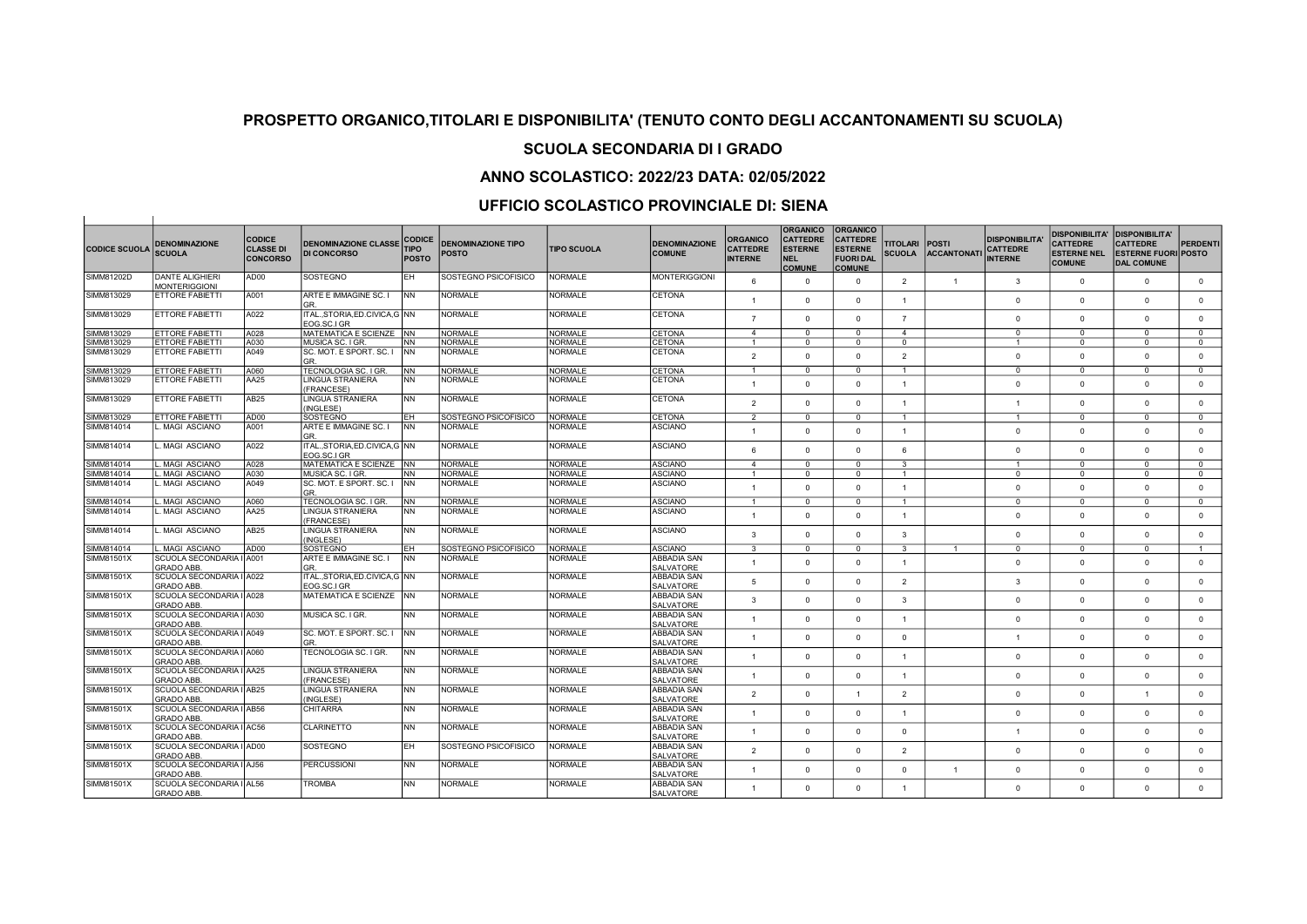## SCUOLA SECONDARIA DI I GRADO

## ANNO SCOLASTICO: 2022/23 DATA: 02/05/2022

| <b>CODICE SCUOLA</b> | <b>DENOMINAZIONE</b><br><b>SCUOLA</b>          | <b>CODICE</b><br><b>CLASSE DI</b><br><b>CONCORSO</b> | <b>DENOMINAZIONE CLASSE</b><br><b>DI CONCORSO</b> | <b>CODICE</b><br><b>TIPO</b><br><b>POSTO</b> | <b>DENOMINAZIONE TIPO</b><br>POSTO | <b>TIPO SCUOLA</b> | <b>DENOMINAZIONE</b><br><b>COMUNE</b>  | <b>ORGANICO</b><br><b>CATTEDRE</b><br><b>INTERNE</b> | <b>ORGANICO</b><br><b>CATTEDRE</b><br><b>ESTERNE</b><br><b>NEL</b><br><b>COMUNE</b> | <b>ORGANICO</b><br><b>CATTEDRE</b><br><b>ESTERNE</b><br><b>FUORI DAL</b><br><b>COMUNE</b> | <b>TITOLARI</b><br><b>SCUOLA</b> | <b>POSTI</b><br><b>ACCANTONATI</b> | <b>DISPONIBILITA</b><br><b>CATTEDRE</b><br><b>INTERNE</b> | <b>DISPONIBILITA'</b><br><b>CATTEDRE</b><br><b>ESTERNE NEL</b><br><b>COMUNE</b> | <b>DISPONIBILITA'</b><br><b>CATTEDRE</b><br><b>ESTERNE FUORI POSTO</b><br><b>DAL COMUNE</b> | PERDENTI       |
|----------------------|------------------------------------------------|------------------------------------------------------|---------------------------------------------------|----------------------------------------------|------------------------------------|--------------------|----------------------------------------|------------------------------------------------------|-------------------------------------------------------------------------------------|-------------------------------------------------------------------------------------------|----------------------------------|------------------------------------|-----------------------------------------------------------|---------------------------------------------------------------------------------|---------------------------------------------------------------------------------------------|----------------|
| SIMM81202D           | <b>DANTE ALIGHIERI</b><br><b>MONTERIGGIONI</b> | AD00                                                 | SOSTEGNO                                          | EH.                                          | SOSTEGNO PSICOFISICO               | <b>NORMALE</b>     | <b>MONTERIGGIONI</b>                   | 6                                                    | $\Omega$                                                                            | $\circ$                                                                                   | $\overline{2}$                   | $\overline{1}$                     | 3                                                         | $\overline{0}$                                                                  | $\mathbf{0}$                                                                                | $\mathbf 0$    |
| SIMM813029           | <b>ETTORE FABIETTI</b>                         | A001                                                 | ARTE E IMMAGINE SC. I<br>GR                       | INN                                          | <b>NORMALE</b>                     | <b>NORMALE</b>     | <b>CETONA</b>                          | $\overline{1}$                                       | $\Omega$                                                                            | $\mathbf{0}$                                                                              | $\overline{1}$                   |                                    | $\Omega$                                                  | $\Omega$                                                                        | $\Omega$                                                                                    | $\mathbf{0}$   |
| SIMM813029           | ETTORE FABIETTI                                | A022                                                 | ITAL.,STORIA,ED.CIVICA,G NN<br>EOG.SC.I GR        |                                              | <b>NORMALE</b>                     | <b>NORMALE</b>     | <b>CETONA</b>                          | $\overline{7}$                                       | $\Omega$                                                                            | $\mathbf{0}$                                                                              | $\overline{7}$                   |                                    | $\Omega$                                                  | $\Omega$                                                                        | $\mathbf{0}$                                                                                | $\mathbf{0}$   |
| SIMM813029           | ETTORE FABIETTI                                | A028                                                 | MATEMATICA E SCIENZE NN                           |                                              | NORMALE                            | <b>NORMALE</b>     | <b>CETONA</b>                          | $\mathbf{4}$                                         | $\Omega$                                                                            | $\Omega$                                                                                  | $\overline{4}$                   |                                    | $\Omega$                                                  | $\Omega$                                                                        | $\Omega$                                                                                    | $^{\circ}$     |
| SIMM813029           | <b>ETTORE FABIETTI</b>                         | A030                                                 | IMUSICA SC. I GR.                                 | <b>NN</b>                                    | <b>NORMALE</b>                     | <b>NORMALE</b>     | <b>CETONA</b>                          | $\overline{1}$                                       | $\Omega$                                                                            | $^{\circ}$                                                                                | $^{\circ}$                       |                                    | $\overline{1}$                                            | $\overline{0}$                                                                  | $\Omega$                                                                                    | $^{\circ}$     |
| SIMM813029           | <b>IETTORE FABIETTI</b>                        | A049                                                 | ISC. MOT. E SPORT. SC. I                          | INN                                          | NORMALE                            | NORMALE            | <b>CETONA</b>                          |                                                      |                                                                                     |                                                                                           |                                  |                                    |                                                           |                                                                                 |                                                                                             |                |
|                      |                                                |                                                      | GR.                                               |                                              |                                    |                    |                                        | $\overline{2}$                                       | $\Omega$                                                                            | $\Omega$                                                                                  | $\overline{2}$                   |                                    | $\Omega$                                                  | $\Omega$                                                                        | $\Omega$                                                                                    | $\overline{0}$ |
| SIMM813029           | ETTORE FABIETTI                                | A060                                                 | TECNOLOGIA SC. I GR                               | <b>NN</b>                                    | NORMALE                            | <b>NORMALE</b>     | <b>CETONA</b>                          | $\overline{1}$                                       | $\Omega$                                                                            | $\circ$                                                                                   | $\blacktriangleleft$             |                                    | $\Omega$                                                  | $\Omega$                                                                        | $\Omega$                                                                                    | $^{\circ}$     |
| SIMM813029           | ETTORE FABIETTI                                | AA25                                                 | LINGUA STRANIERA<br>(FRANCESE)                    | <b>NN</b>                                    | <b>NORMALE</b>                     | <b>NORMALE</b>     | <b>CETONA</b>                          | $\overline{1}$                                       | $\Omega$                                                                            | $\circ$                                                                                   | $\overline{1}$                   |                                    | $\Omega$                                                  | $\Omega$                                                                        | $\Omega$                                                                                    | $\Omega$       |
| SIMM813029           | <b>ETTORE FABIETTI</b>                         | AB <sub>25</sub>                                     | LINGUA STRANIERA                                  | <b>NN</b>                                    | <b>NORMALE</b>                     | <b>NORMALE</b>     | <b>CETONA</b>                          | $\overline{2}$                                       | $\Omega$                                                                            | $\Omega$                                                                                  |                                  |                                    | $\overline{1}$                                            | $\Omega$                                                                        | $\Omega$                                                                                    | $\mathbf{0}$   |
|                      |                                                |                                                      | (INGLESE)                                         |                                              |                                    |                    |                                        |                                                      |                                                                                     |                                                                                           | $\overline{1}$                   |                                    |                                                           |                                                                                 |                                                                                             |                |
| SIMM813029           | ETTORE FABIETTI                                | AD00                                                 | SOSTEGNO                                          | EH                                           | SOSTEGNO PSICOFISICO               | <b>NORMALE</b>     | <b>CETONA</b>                          | $\overline{2}$                                       | $\Omega$                                                                            | $\mathbf{0}$                                                                              | $\blacktriangleleft$             |                                    | $\overline{1}$                                            | $\Omega$                                                                        | $\Omega$                                                                                    | $^{\circ}$     |
| SIMM814014           | MAGI ASCIANO                                   | A001                                                 | ARTE E IMMAGINE SC. I<br>GR.                      | INN.                                         | <b>NORMALE</b>                     | <b>NORMALE</b>     | <b>ASCIANO</b>                         | $\overline{1}$                                       | $\Omega$                                                                            | $\Omega$                                                                                  | $\overline{1}$                   |                                    | $\Omega$                                                  | $\Omega$                                                                        | $\Omega$                                                                                    | $\Omega$       |
| SIMM814014           | MAGI ASCIANO                                   | A022                                                 | ITAL.,STORIA,ED.CIVICA,G   NN<br>EOG.SC.I GR      |                                              | <b>NORMALE</b>                     | <b>NORMALE</b>     | <b>ASCIANO</b>                         | 6                                                    | $\Omega$                                                                            | $\Omega$                                                                                  | 6                                |                                    | $\Omega$                                                  | $\Omega$                                                                        | $\Omega$                                                                                    | $\mathbf{0}$   |
| SIMM814014           | MAGI ASCIANO                                   | A028                                                 | <b>MATEMATICA E SCIENZE</b>                       | <b>INN</b>                                   | NORMALE                            | <b>NORMALE</b>     | <b>ASCIANO</b>                         | $\overline{4}$                                       | $\Omega$                                                                            | $\Omega$                                                                                  | 3                                |                                    | $\overline{1}$                                            | $\Omega$                                                                        | $\Omega$                                                                                    | $\mathbf{0}$   |
| SIMM814014           | MAGI ASCIANO                                   | A030                                                 | MUSICA SC. I GR.                                  | <b>NN</b>                                    | NORMALE                            | <b>NORMALE</b>     | <b>ASCIANO</b>                         | 1                                                    | $\Omega$                                                                            | $\mathbf{0}$                                                                              | $\blacktriangleleft$             |                                    | $\Omega$                                                  | $\Omega$                                                                        | $\Omega$                                                                                    | $\mathbf{0}$   |
| SIMM814014           | . MAGI ASCIANO                                 | A049                                                 | ISC. MOT. E SPORT. SC. I<br>GR.                   | <b>NN</b>                                    | NORMALE                            | <b>NORMALE</b>     | <b>ASCIANO</b>                         | $\overline{1}$                                       | $\Omega$                                                                            | $\circ$                                                                                   | $\overline{1}$                   |                                    | $\Omega$                                                  | $\Omega$                                                                        | $\Omega$                                                                                    | $\mathbf{0}$   |
| SIMM814014           | <b>MAGI ASCIANO</b>                            | A060                                                 | <b>TECNOLOGIA SC. I GR</b>                        | <b>NN</b>                                    | NORMALE                            | <b>NORMALE</b>     | <b>ASCIANO</b>                         | $\overline{1}$                                       | $\Omega$                                                                            | $\mathbf{0}$                                                                              | $\blacktriangleleft$             |                                    | $\mathbf 0$                                               | $\overline{0}$                                                                  | $\mathbf{0}$                                                                                | $\mathbf{0}$   |
| SIMM814014           | <b>MAGI ASCIANO</b>                            | AA25                                                 | LINGUA STRANIERA                                  | <b>NN</b>                                    | NORMALE                            | <b>NORMALE</b>     | <b>ASCIANO</b>                         |                                                      |                                                                                     |                                                                                           |                                  |                                    |                                                           |                                                                                 |                                                                                             |                |
| SIMM814014           | MAGI ASCIANO                                   | AB25                                                 | (FRANCESE)<br><b>LINGUA STRANIERA</b>             | <b>NN</b>                                    | NORMALE                            | <b>NORMALE</b>     | <b>ASCIANO</b>                         | $\overline{1}$                                       | $\Omega$                                                                            | $\circ$                                                                                   | $\overline{1}$                   |                                    | $\Omega$                                                  | $\Omega$                                                                        | $^{\circ}$                                                                                  | $\mathbf{0}$   |
|                      |                                                |                                                      | (INGLESE)                                         |                                              |                                    |                    |                                        | 3                                                    | $\Omega$                                                                            | $\circ$                                                                                   | 3                                |                                    | $\Omega$                                                  | $\Omega$                                                                        | $\Omega$                                                                                    | $\mathbf 0$    |
| SIMM814014           | . MAGI ASCIANO                                 | AD00                                                 | SOSTEGNO                                          | EH.                                          | SOSTEGNO PSICOFISICO               | <b>NORMALE</b>     | <b>ASCIANO</b>                         | $\overline{\mathbf{3}}$                              | $\overline{0}$                                                                      | $\overline{0}$                                                                            | $\overline{\mathbf{3}}$          | -1                                 | $\overline{0}$                                            | $\overline{0}$                                                                  | $\overline{0}$                                                                              | $\overline{1}$ |
| SIMM81501X           | SCUOLA SECONDARIA I A001<br><b>GRADO ABB</b>   |                                                      | ARTE E IMMAGINE SC. I<br>GR.                      | <b>NN</b>                                    | <b>NORMALE</b>                     | <b>NORMALE</b>     | ABBADIA SAN<br><b>SALVATORE</b>        | $\mathbf{1}$                                         | $\Omega$                                                                            | $\circ$                                                                                   | $\overline{1}$                   |                                    | $\Omega$                                                  | $\Omega$                                                                        | $\Omega$                                                                                    | $\mathbf 0$    |
| <b>SIMM81501X</b>    | SCUOLA SECONDARIA I A022                       |                                                      | ITAL.,STORIA,ED.CIVICA,G NN                       |                                              | <b>NORMALE</b>                     | <b>NORMALE</b>     | <b>ABBADIA SAN</b>                     |                                                      |                                                                                     |                                                                                           |                                  |                                    |                                                           |                                                                                 |                                                                                             |                |
|                      | <b>GRADO ABB.</b>                              |                                                      | EOG.SC.I GR                                       |                                              |                                    |                    | SALVATORE                              | 5                                                    | $\Omega$                                                                            | $\circ$                                                                                   | $\overline{2}$                   |                                    | 3                                                         | $\Omega$                                                                        | $\Omega$                                                                                    | $\mathbf{0}$   |
| SIMM81501X           | SCUOLA SECONDARIA I A028                       |                                                      | MATEMATICA E SCIENZE                              | <b>INN</b>                                   | NORMALE                            | <b>NORMALE</b>     | <b>ABBADIA SAN</b>                     | 3                                                    | $\Omega$                                                                            | $\Omega$                                                                                  | $\mathbf{3}$                     |                                    | $\Omega$                                                  | $\Omega$                                                                        | $\Omega$                                                                                    | $\mathbf{0}$   |
|                      | <b>GRADO ABB</b>                               |                                                      |                                                   |                                              |                                    |                    | <b>SALVATORE</b>                       |                                                      |                                                                                     |                                                                                           |                                  |                                    |                                                           |                                                                                 |                                                                                             |                |
| SIMM81501X           | SCUOLA SECONDARIA I A030<br><b>GRADO ABB.</b>  |                                                      | MUSICA SC. I GR.                                  | <b>NN</b>                                    | <b>NORMALE</b>                     | <b>NORMALE</b>     | ABBADIA SAN<br>SALVATORE               |                                                      | $\Omega$                                                                            | $\Omega$                                                                                  | $\overline{1}$                   |                                    | $\Omega$                                                  | $\Omega$                                                                        | $\Omega$                                                                                    | $\Omega$       |
| SIMM81501X           | SCUOLA SECONDARIA I A049                       |                                                      | ISC. MOT. E SPORT. SC. I                          | <b>INN</b>                                   | <b>NORMALE</b>                     | <b>NORMALE</b>     | <b>ABBADIA SAN</b>                     |                                                      |                                                                                     |                                                                                           |                                  |                                    |                                                           |                                                                                 |                                                                                             |                |
|                      | <b>GRADO ABB.</b>                              |                                                      | GR.                                               |                                              |                                    |                    | SALVATORE                              |                                                      | $\Omega$                                                                            | $\Omega$                                                                                  | $\Omega$                         |                                    | -1                                                        | $\Omega$                                                                        | $\Omega$                                                                                    | $\mathbf{0}$   |
| SIMM81501X           | SCUOLA SECONDARIA I A060                       |                                                      | <b>TECNOLOGIA SC. I GR</b>                        | <b>NN</b>                                    | <b>NORMALE</b>                     | <b>NORMALE</b>     | <b>ABBADIA SAN</b>                     | $\overline{1}$                                       | $\Omega$                                                                            | $\circ$                                                                                   | $\overline{1}$                   |                                    | $\Omega$                                                  | $\overline{0}$                                                                  | $^{\circ}$                                                                                  | $\circ$        |
|                      | <b>GRADO ABB.</b>                              |                                                      |                                                   |                                              |                                    |                    | <b>SALVATORE</b>                       |                                                      |                                                                                     |                                                                                           |                                  |                                    |                                                           |                                                                                 |                                                                                             |                |
| SIMM81501X           | SCUOLA SECONDARIA I AA25<br><b>GRADO ABB.</b>  |                                                      | LINGUA STRANIERA<br>(FRANCESE)                    | <b>NN</b>                                    | <b>NORMALE</b>                     | <b>NORMALE</b>     | ABBADIA SAN<br><b>SALVATORE</b>        | $\overline{1}$                                       | $\Omega$                                                                            | $\circ$                                                                                   | $\overline{1}$                   |                                    | $\Omega$                                                  | $\Omega$                                                                        | $\Omega$                                                                                    | $\mathbf 0$    |
| SIMM81501X           | SCUOLA SECONDARIA I AB25<br><b>GRADO ABB</b>   |                                                      | LINGUA STRANIERA<br>(INGLESE)                     | <b>NN</b>                                    | NORMALE                            | <b>NORMALE</b>     | ABBADIA SAN<br><b>SALVATORE</b>        | $\overline{2}$                                       | $\Omega$                                                                            | $\mathbf{1}$                                                                              | $\overline{2}$                   |                                    | $\Omega$                                                  | $\Omega$                                                                        |                                                                                             | $\mathbf{0}$   |
| SIMM81501X           | SCUOLA SECONDARIA I AB56                       |                                                      | <b>CHITARRA</b>                                   | <b>NN</b>                                    | NORMALE                            | <b>NORMALE</b>     | ABBADIA SAN                            | $\mathbf{1}$                                         | $\Omega$                                                                            | $\circ$                                                                                   | $\overline{1}$                   |                                    | $\Omega$                                                  | $\Omega$                                                                        | $\Omega$                                                                                    | $\Omega$       |
| SIMM81501X           | <b>GRADO ABB.</b><br>SCUOLA SECONDARIA I AC56  |                                                      | <b>CLARINETTO</b>                                 | <b>NN</b>                                    | NORMALE                            | NORMALE            | SALVATORE<br><b>ABBADIA SAN</b>        |                                                      |                                                                                     |                                                                                           |                                  |                                    |                                                           |                                                                                 |                                                                                             |                |
|                      | <b>GRADO ABB.</b>                              |                                                      |                                                   |                                              |                                    |                    | <b>SALVATORE</b>                       |                                                      | $\Omega$                                                                            | $\Omega$                                                                                  | $\Omega$                         |                                    | $\overline{1}$                                            | $\Omega$                                                                        | $\Omega$                                                                                    | $\mathbf{0}$   |
| SIMM81501X           | SCUOLA SECONDARIA I AD00<br>GRADO ABB.         |                                                      | SOSTEGNO                                          | EH.                                          | SOSTEGNO PSICOFISICO               | <b>NORMALE</b>     | <b>ABBADIA SAN</b><br><b>SALVATORE</b> | $\overline{2}$                                       | $\Omega$                                                                            | $\Omega$                                                                                  | $\overline{2}$                   |                                    | $\Omega$                                                  | $\Omega$                                                                        | $\Omega$                                                                                    | $\mathbf{0}$   |
| SIMM81501X           | SCUOLA SECONDARIA I AJ56<br><b>GRADO ABB</b>   |                                                      | PERCUSSIONI                                       | <b>NN</b>                                    | <b>NORMALE</b>                     | NORMALE            | ABBADIA SAN<br>SALVATORE               | $\overline{1}$                                       | $\Omega$                                                                            | $\Omega$                                                                                  | $\Omega$                         | $\overline{1}$                     | $\Omega$                                                  | $\Omega$                                                                        | $\Omega$                                                                                    | $\mathbf 0$    |
| SIMM81501X           | SCUOLA SECONDARIA I AL56<br><b>GRADO ABB.</b>  |                                                      | <b>TROMBA</b>                                     | <b>NN</b>                                    | <b>NORMALE</b>                     | <b>NORMALE</b>     | <b>ABBADIA SAN</b><br><b>SALVATORE</b> | $\overline{1}$                                       | $\Omega$                                                                            | $\Omega$                                                                                  |                                  |                                    | $\Omega$                                                  | $\Omega$                                                                        | $\Omega$                                                                                    | $\Omega$       |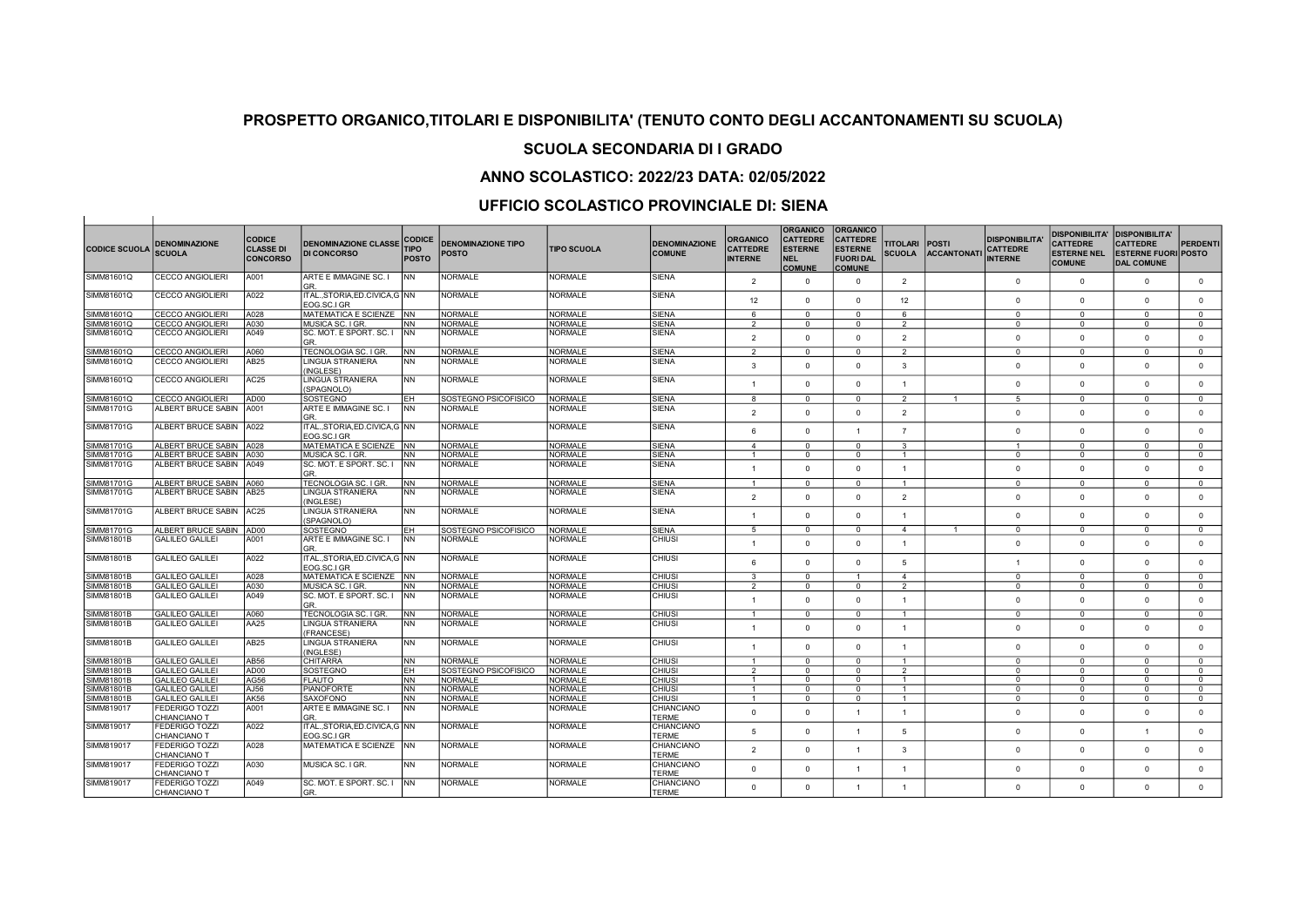## SCUOLA SECONDARIA DI I GRADO

### ANNO SCOLASTICO: 2022/23 DATA: 02/05/2022

| <b>CODICE SCUOLA</b> | <b>DENOMINAZIONE</b><br><b>SCUOLA</b> | <b>CODICE</b><br><b>CLASSE DI</b><br><b>CONCORSO</b> | <b>DENOMINAZIONE CLASSE</b><br><b>DI CONCORSO</b> | <b>CODICE</b><br><b>TIPO</b><br><b>POSTO</b> | <b>DENOMINAZIONE TIPO</b><br><b>POSTO</b> | <b>TIPO SCUOLA</b> | <b>DENOMINAZIONE</b><br><b>COMUNE</b> | <b>ORGANICO</b><br><b>CATTEDRE</b><br><b>INTERNE</b> | <b>ORGANICO</b><br><b>CATTEDRE</b><br><b>ESTERNE</b><br><b>NEL</b><br><b>COMUNE</b> | <b>ORGANICO</b><br><b>CATTEDRE</b><br><b>ESTERNE</b><br><b>FUORI DAL</b><br><b>COMUNE</b> | <b>TITOLARI</b><br><b>SCUOLA</b> | <b>POSTI</b><br><b>ACCANTONATI</b> | <b>DISPONIBILITA</b><br><b>CATTEDRE</b><br><b>INTERNE</b> | <b>DISPONIBILITA'</b><br><b>CATTEDRE</b><br><b>ESTERNE NEL</b><br><b>COMUNE</b> | <b>DISPONIBILITA'</b><br><b>CATTEDRE</b><br><b>ESTERNE FUORI POSTO</b><br><b>DAL COMUNE</b> | <b>PERDENTI</b> |
|----------------------|---------------------------------------|------------------------------------------------------|---------------------------------------------------|----------------------------------------------|-------------------------------------------|--------------------|---------------------------------------|------------------------------------------------------|-------------------------------------------------------------------------------------|-------------------------------------------------------------------------------------------|----------------------------------|------------------------------------|-----------------------------------------------------------|---------------------------------------------------------------------------------|---------------------------------------------------------------------------------------------|-----------------|
| SIMM81601Q           | <b>CECCO ANGIOLIERI</b>               | A001                                                 | ARTE E IMMAGINE SC. I<br>GR.                      | <b>NN</b>                                    | <b>NORMALE</b>                            | <b>NORMALE</b>     | <b>SIENA</b>                          | 2                                                    | $\Omega$                                                                            | $\Omega$                                                                                  | 2                                |                                    | $\Omega$                                                  | $\Omega$                                                                        | $\Omega$                                                                                    | $\mathbf{0}$    |
| SIMM81601Q           | <b>CECCO ANGIOLIERI</b>               | A022                                                 | ITALSTORIA.ED.CIVICA.G INN<br>EOG.SC.I GR         |                                              | <b>NORMALE</b>                            | <b>NORMALE</b>     | <b>SIENA</b>                          | 12                                                   | $\Omega$                                                                            | $\Omega$                                                                                  | 12                               |                                    | $\Omega$                                                  | $\Omega$                                                                        | $\Omega$                                                                                    | $\Omega$        |
| SIMM81601Q           | <b>CECCO ANGIOLIERI</b>               | A028                                                 | MATEMATICA E SCIENZE INN                          |                                              | <b>NORMALE</b>                            | <b>NORMALE</b>     | <b>SIENA</b>                          | 6                                                    | $\Omega$                                                                            | $\Omega$                                                                                  | 6                                |                                    | $\Omega$                                                  | $\Omega$                                                                        | $\overline{0}$                                                                              | $\Omega$        |
| SIMM81601Q           | CECCO ANGIOLIERI                      | A030                                                 | MUSICA SC. I GR.                                  | <b>NN</b>                                    | NORMALE                                   | <b>NORMALE</b>     | <b>SIENA</b>                          | $\mathfrak{p}$                                       | $\Omega$                                                                            | $^{\circ}$                                                                                | 2                                |                                    | $\Omega$                                                  | $\Omega$                                                                        | $\Omega$                                                                                    | $\Omega$        |
| SIMM81601Q           | <b>CECCO ANGIOLIERI</b>               | A049                                                 | SC. MOT. E SPORT. SC. I<br>GR.                    | <b>INN</b>                                   | <b>NORMALE</b>                            | <b>NORMALE</b>     | <b>SIENA</b>                          | $\mathfrak{p}$                                       | $\Omega$                                                                            | $\Omega$                                                                                  | $\overline{2}$                   |                                    | $\Omega$                                                  | $\Omega$                                                                        | $\Omega$                                                                                    | $\Omega$        |
| SIMM81601Q           | <b>CECCO ANGIOLIERI</b>               | A060                                                 | TECNOLOGIA SC. I GR                               | INN.                                         | <b>NORMALE</b>                            | <b>NORMALE</b>     | <b>SIENA</b>                          | $\overline{2}$                                       | $\Omega$                                                                            | $\overline{0}$                                                                            | $\overline{2}$                   |                                    | $\Omega$                                                  | $\overline{0}$                                                                  | $\overline{0}$                                                                              | $\overline{0}$  |
| SIMM81601Q           | <b>CECCO ANGIOLIERI</b>               | AB25                                                 | <b>LINGUA STRANIERA</b><br>(INGLESE)              | <b>NN</b>                                    | <b>NORMALE</b>                            | <b>NORMALE</b>     | <b>SIENA</b>                          | 3                                                    | $\Omega$                                                                            | $\mathbf{0}$                                                                              | 3                                |                                    | $\Omega$                                                  | $\Omega$                                                                        | $\Omega$                                                                                    | $\mathbf 0$     |
| SIMM81601Q           | <b>CECCO ANGIOLIERI</b>               | AC <sub>25</sub>                                     | LINGUA STRANIERA<br>(SPAGNOLO)                    | <b>NN</b>                                    | <b>NORMALE</b>                            | <b>NORMALE</b>     | <b>SIENA</b>                          | $\mathbf{1}$                                         | $\Omega$                                                                            | $\Omega$                                                                                  | $\overline{1}$                   |                                    | $\Omega$                                                  | $\Omega$                                                                        | $\Omega$                                                                                    | $\mathbf{0}$    |
| SIMM81601Q           | <b>CECCO ANGIOLIERI</b>               | AD00                                                 | SOSTEGNO                                          | EH.                                          | SOSTEGNO PSICOFISICO                      | <b>NORMALE</b>     | <b>SIENA</b>                          | 8                                                    | $\Omega$                                                                            | $\overline{0}$                                                                            | $\overline{2}$                   | $\overline{1}$                     | $\overline{5}$                                            | $\overline{0}$                                                                  | $\overline{0}$                                                                              | $\overline{0}$  |
| SIMM81701G           | ALBERT BRUCE SABIN                    | A001                                                 | ARTE E IMMAGINE SC. I<br>GR.                      | <b>NN</b>                                    | NORMALE                                   | <b>NORMALE</b>     | <b>SIENA</b>                          | 2                                                    | $\Omega$                                                                            | $\mathbf{0}$                                                                              | 2                                |                                    | $\Omega$                                                  | $\Omega$                                                                        | $\Omega$                                                                                    | $\mathbf{0}$    |
| SIMM81701G           | ALBERT BRUCE SABIN   A022             |                                                      | ITALSTORIA.ED.CIVICA.G INN<br>EOG.SC.I GR         |                                              | <b>NORMALE</b>                            | <b>NORMALE</b>     | <b>SIENA</b>                          | 6                                                    | $\Omega$                                                                            | $\overline{1}$                                                                            | $\overline{7}$                   |                                    | $\Omega$                                                  | $\Omega$                                                                        | $\Omega$                                                                                    | $\Omega$        |
| SIMM81701G           | ALBERT BRUCE SABIN 1A028              |                                                      | MATEMATICA E SCIENZE INN                          |                                              | <b>NORMALE</b>                            | <b>NORMALE</b>     | SIFNA                                 | $\overline{4}$                                       | $\Omega$                                                                            | $\Omega$                                                                                  | 3                                |                                    | $\overline{1}$                                            | $\Omega$                                                                        | $\Omega$                                                                                    | $\Omega$        |
| SIMM81701G           | ALBERT BRUCE SABIN                    | A030                                                 | MUSICA SC. I GR.                                  | <b>NN</b>                                    | NORMALE                                   | <b>NORMALE</b>     | <b>SIENA</b>                          | -1                                                   | $\Omega$                                                                            | $^{\circ}$                                                                                | $\mathbf{1}$                     |                                    | $\Omega$                                                  | $\Omega$                                                                        | $\Omega$                                                                                    | $^{\circ}$      |
| SIMM81701G           | ALBERT BRUCE SABIN   A049             |                                                      | SC. MOT. E SPORT. SC. I<br>GR.                    | <b>NN</b>                                    | <b>NORMALE</b>                            | <b>NORMALE</b>     | <b>SIENA</b>                          | $\overline{1}$                                       | $\Omega$                                                                            | $\Omega$                                                                                  | $\overline{1}$                   |                                    | $\Omega$                                                  | $\Omega$                                                                        | $\Omega$                                                                                    | $\Omega$        |
| SIMM81701G           | ALBERT BRUCE SABIN 1A060              |                                                      | TECNOLOGIA SC. I GR.                              | <b>NN</b>                                    | <b>NORMALE</b>                            | <b>NORMALE</b>     | <b>SIENA</b>                          | $\overline{1}$                                       | $\Omega$                                                                            | $^{\circ}$                                                                                | $\overline{1}$                   |                                    | $^{\circ}$                                                | $\Omega$                                                                        | $\mathbf{0}$                                                                                | $^{\circ}$      |
| SIMM81701G           | ALBERT BRUCE SABIN AB25               |                                                      | <b>LINGUA STRANIERA</b><br>(INGLESE)              | <b>NN</b>                                    | <b>NORMALE</b>                            | <b>NORMALE</b>     | <b>SIENA</b>                          | $\overline{2}$                                       | $\Omega$                                                                            | $\Omega$                                                                                  | $\overline{2}$                   |                                    | $\Omega$                                                  | $\Omega$                                                                        | $\Omega$                                                                                    | $\Omega$        |
| SIMM81701G           | ALBERT BRUCE SABIN AC25               |                                                      | LINGUA STRANIERA<br>(SPAGNOLO)                    | <b>NN</b>                                    | NORMALE                                   | <b>NORMALE</b>     | <b>SIENA</b>                          | $\overline{1}$                                       | $\Omega$                                                                            | $\Omega$                                                                                  | $\overline{1}$                   |                                    | $\Omega$                                                  | $\Omega$                                                                        | $\Omega$                                                                                    | $\mathbf 0$     |
| SIMM81701G           | ALBERT BRUCE SABIN TAD00              |                                                      | SOSTEGNO                                          | EH                                           | SOSTEGNO PSICOFISICO                      | <b>NORMALE</b>     | <b>SIENA</b>                          | 5                                                    | $^{\circ}$                                                                          | $^{\circ}$                                                                                | $\overline{4}$                   | $\overline{1}$                     | $^{\circ}$                                                | $\Omega$                                                                        | $\mathbf{0}$                                                                                | $^{\circ}$      |
| SIMM81801B           | GALILEO GALILEI                       | A001                                                 | ARTE E IMMAGINE SC. I<br>GR.                      | <b>INN</b>                                   | <b>NORMALE</b>                            | <b>NORMALE</b>     | <b>CHIUSI</b>                         | $\overline{1}$                                       | $\Omega$                                                                            | $\Omega$                                                                                  | $\overline{1}$                   |                                    | $\Omega$                                                  | $\Omega$                                                                        | $\Omega$                                                                                    | $\Omega$        |
| SIMM81801B           | <b>GALILEO GALILEI</b>                | A022                                                 | ITAL., STORIA, ED.CIVICA, G NN<br>EOG.SC.I GR     |                                              | <b>NORMALE</b>                            | <b>NORMALE</b>     | <b>CHIUSI</b>                         | 6                                                    | $\Omega$                                                                            | $\Omega$                                                                                  | $\overline{5}$                   |                                    | $\overline{1}$                                            | $\Omega$                                                                        | $\Omega$                                                                                    | $\mathbf{0}$    |
| SIMM81801B           | <b>GALILEO GALILEI</b>                | A028                                                 | MATEMATICA E SCIENZE INN                          |                                              | NORMALE                                   | <b>NORMALE</b>     | <b>CHIUSI</b>                         | $\mathbf{3}$                                         | $\Omega$                                                                            | $\mathbf{1}$                                                                              | $\overline{4}$                   |                                    | $\Omega$                                                  | $\Omega$                                                                        | $\Omega$                                                                                    | $\Omega$        |
| SIMM81801B           | <b>GALILEO GALILEI</b>                | A030                                                 | MUSICA SC. I GR.                                  | <b>NN</b>                                    | <b>NORMALE</b>                            | <b>NORMALE</b>     | <b>CHIUSI</b>                         | $\overline{2}$                                       | $\mathbf{0}$                                                                        | $\mathbf{0}$                                                                              | $\overline{2}$                   |                                    | $\Omega$                                                  | $\Omega$                                                                        | $\circ$                                                                                     | $\mathbf{0}$    |
| SIMM81801B           | <b>GALILEO GALILEI</b>                | A049                                                 | SC. MOT. E SPORT. SC. I<br>GR.                    | <b>INN</b>                                   | <b>NORMALE</b>                            | <b>NORMALE</b>     | <b>CHIUSI</b>                         | $\overline{1}$                                       | $\Omega$                                                                            | $\Omega$                                                                                  | $\overline{1}$                   |                                    | $\Omega$                                                  | $\Omega$                                                                        | $\Omega$                                                                                    | $\mathbf 0$     |
| SIMM81801B           | <b>GALILEO GALILEI</b>                | A060                                                 | TECNOLOGIA SC. I GR                               | <b>NN</b>                                    | <b>NORMALE</b>                            | <b>NORMALE</b>     | <b>CHIUSI</b>                         | $\overline{1}$                                       | $\Omega$                                                                            | $^{\circ}$                                                                                | $\mathbf{1}$                     |                                    | $\Omega$                                                  | $\Omega$                                                                        | $\Omega$                                                                                    | $\mathbf{0}$    |
| SIMM81801B           | <b>GALILEO GALILEI</b>                | AA25                                                 | LINGUA STRANIERA<br>(FRANCESE)                    | <b>NN</b>                                    | <b>NORMALE</b>                            | <b>NORMALE</b>     | <b>CHIUSI</b>                         | $\overline{1}$                                       | $\Omega$                                                                            | $\Omega$                                                                                  | $\overline{1}$                   |                                    | $\Omega$                                                  | $\Omega$                                                                        | $\Omega$                                                                                    | $\Omega$        |
| SIMM81801B           | <b>GALILEO GALILEI</b>                | AB25                                                 | <b>LINGUA STRANIERA</b><br>(INGLESE)              | <b>NN</b>                                    | <b>NORMALE</b>                            | <b>NORMALE</b>     | <b>CHIUSI</b>                         | $\overline{1}$                                       | $\Omega$                                                                            | $\mathbf{0}$                                                                              | $\overline{1}$                   |                                    | $\Omega$                                                  | $\Omega$                                                                        | $\Omega$                                                                                    | $\mathbf 0$     |
| SIMM81801B           | <b>GALILEO GALILEI</b>                | AB56                                                 | CHITARRA                                          | <b>NN</b>                                    | <b>NORMALE</b>                            | <b>NORMALE</b>     | <b>CHIUSI</b>                         | $\mathbf{1}$                                         | $\Omega$                                                                            | $\Omega$                                                                                  | $\overline{1}$                   |                                    | $\Omega$                                                  | $\Omega$                                                                        | $\Omega$                                                                                    | $\Omega$        |
| SIMM81801B           | <b>GALILEO GALILEI</b>                | AD <sub>00</sub>                                     | <b>SOSTEGNO</b>                                   | EH.                                          | SOSTEGNO PSICOFISICO                      | <b>NORMALE</b>     | <b>CHIUSI</b>                         | $\overline{2}$                                       | $\Omega$                                                                            | $\Omega$                                                                                  | $\overline{2}$                   |                                    | $\Omega$                                                  | $\Omega$                                                                        | $\Omega$                                                                                    | $\Omega$        |
| <b>SIMM81801B</b>    | <b>GALILEO GALILEI</b>                | AG56                                                 | <b>FLAUTO</b>                                     | <b>NN</b>                                    | <b>NORMALE</b>                            | <b>NORMALE</b>     | <b>CHIUSI</b>                         | $\overline{1}$                                       | $\Omega$                                                                            | $\Omega$                                                                                  | $\overline{1}$                   |                                    | $\Omega$                                                  | $\Omega$                                                                        | $\Omega$                                                                                    | $\mathbf{0}$    |
| SIMM81801B           | <b>GALILEO GALILEI</b>                | AJ56                                                 | <b>PIANOFORTE</b>                                 | <b>NN</b>                                    | NORMALE                                   | <b>NORMALE</b>     | CHIUSI                                | -1                                                   | $\mathsf{r}$                                                                        | $^{\circ}$                                                                                | $\overline{1}$                   |                                    | $\Omega$                                                  | $\Omega$                                                                        | $\Omega$                                                                                    | $\Omega$        |
| SIMM81801B           | <b>GALILEO GALILEI</b>                | AK56                                                 | SAXOFONO                                          | <b>NN</b>                                    | NORMALE                                   | <b>NORMALE</b>     | <b>CHIUSI</b>                         | $\mathbf{1}$                                         | $\Omega$                                                                            | $\mathbf{0}$                                                                              | $\blacktriangleleft$             |                                    | $\Omega$                                                  | $\Omega$                                                                        | $\Omega$                                                                                    | $\Omega$        |
| SIMM819017           | <b>FEDERIGO TOZZI</b><br>CHIANCIANO T | A001                                                 | ARTE E IMMAGINE SC. I<br>GR.                      | <b>INN</b>                                   | <b>NORMALE</b>                            | <b>NORMALE</b>     | CHIANCIANO<br><b>TERME</b>            | $\Omega$                                             | $\Omega$                                                                            | $\overline{1}$                                                                            | $\blacktriangleleft$             |                                    | $\Omega$                                                  | $\Omega$                                                                        | $\Omega$                                                                                    | $\Omega$        |
| SIMM819017           | <b>FEDERIGO TOZZI</b><br>CHIANCIANO T | A022                                                 | ITAL.,STORIA,ED.CIVICA,G NN<br>EOG.SC.I GR        |                                              | NORMALE                                   | <b>NORMALE</b>     | CHIANCIANO<br><b>TERME</b>            | 5                                                    | $\Omega$                                                                            | $\mathbf{1}$                                                                              | $\overline{5}$                   |                                    | $\Omega$                                                  | $\Omega$                                                                        |                                                                                             | $\Omega$        |
| SIMM819017           | <b>FEDERIGO TOZZI</b><br>CHIANCIANO T | A028                                                 | MATEMATICA E SCIENZE                              | <b>INN</b>                                   | <b>NORMALE</b>                            | <b>NORMALE</b>     | CHIANCIANO<br><b>TERME</b>            | $\overline{2}$                                       | $\Omega$                                                                            | $\overline{1}$                                                                            | $\mathbf{3}$                     |                                    | $\Omega$                                                  | $\Omega$                                                                        | $\Omega$                                                                                    | $\Omega$        |
| SIMM819017           | <b>FEDERIGO TOZZI</b><br>CHIANCIANO T | A030                                                 | MUSICA SC. LGR.                                   | <b>NN</b>                                    | <b>NORMALE</b>                            | <b>NORMALE</b>     | CHIANCIANO<br>TFRMF                   | $\Omega$                                             | $\Omega$                                                                            | $\overline{1}$                                                                            | $\overline{1}$                   |                                    | $\Omega$                                                  | $\Omega$                                                                        | $\Omega$                                                                                    | $\mathbf{0}$    |
| SIMM819017           | <b>FEDERIGO TOZZI</b><br>CHIANCIANO T | A049                                                 | SC. MOT. E SPORT. SC. I<br>GR.                    | <b>NN</b>                                    | <b>NORMALE</b>                            | <b>NORMALE</b>     | CHIANCIANO<br>TERME                   | $\Omega$                                             | $\Omega$                                                                            |                                                                                           |                                  |                                    | $\Omega$                                                  | $\Omega$                                                                        | $\Omega$                                                                                    | $\Omega$        |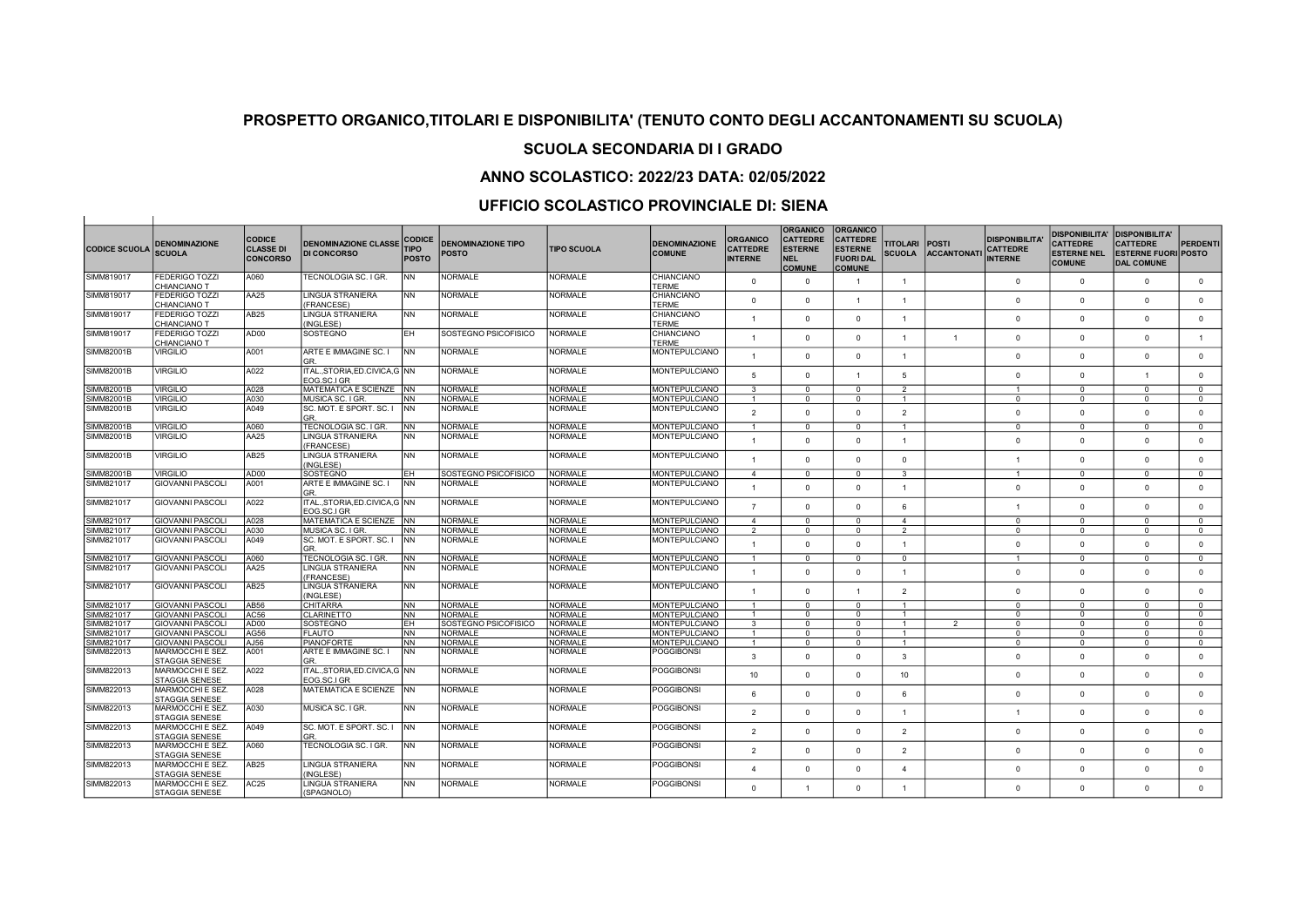#### SCUOLA SECONDARIA DI I GRADO

## ANNO SCOLASTICO: 2022/23 DATA: 02/05/2022

| <b>CODICE SCUOLA</b> | <b>DENOMINAZIONE</b><br><b>SCUOLA</b>     | <b>CODICE</b><br><b>CLASSE DI</b><br><b>CONCORSO</b> | <b>DENOMINAZIONE CLASSE</b><br><b>DI CONCORSO</b> | <b>CODICE</b><br><b>TIPO</b><br>POSTO | <b>DENOMINAZIONE TIPO</b><br><b>POSTO</b> | <b>TIPO SCUOLA</b> | <b>DENOMINAZIONE</b><br><b>COMUNE</b> | <b>ORGANICO</b><br><b>CATTEDRE</b><br><b>INTERNE</b> | <b>ORGANICO</b><br><b>CATTEDRE</b><br><b>ESTERNE</b><br><b>NEL</b><br><b>COMUNE</b> | <b>ORGANICO</b><br><b>CATTEDRE</b><br><b>ESTERNE</b><br><b>FUORI DAL</b><br><b>COMUNE</b> | <b>TITOLARI</b><br><b>SCUOLA</b> | <b>POSTI</b><br><b>ACCANTONATI</b> | <b>DISPONIBILITA</b><br><b>CATTEDRE</b><br><b>INTERNE</b> | <b>DISPONIBILITA'</b><br><b>CATTEDRE</b><br><b>ESTERNE NEL</b><br><b>COMUNE</b> | <b>DISPONIBILITA'</b><br><b>CATTEDRE</b><br><b>ESTERNE FUORI POSTO</b><br><b>DAL COMUNE</b> | <b>PERDENTI</b> |
|----------------------|-------------------------------------------|------------------------------------------------------|---------------------------------------------------|---------------------------------------|-------------------------------------------|--------------------|---------------------------------------|------------------------------------------------------|-------------------------------------------------------------------------------------|-------------------------------------------------------------------------------------------|----------------------------------|------------------------------------|-----------------------------------------------------------|---------------------------------------------------------------------------------|---------------------------------------------------------------------------------------------|-----------------|
| SIMM819017           | <b>FEDERIGO TOZZI</b><br>CHIANCIANO T     | A060                                                 | TECNOLOGIA SC. I GR.                              | <b>NN</b>                             | NORMALE                                   | <b>NORMALE</b>     | CHIANCIANO<br>TFRMF                   | $\mathbf{0}$                                         | $\overline{0}$                                                                      | $\overline{1}$                                                                            | $\overline{1}$                   |                                    | $\mathbf{0}$                                              | $\overline{0}$                                                                  | $\mathbf{0}$                                                                                | $\mathbf{0}$    |
| SIMM819017           | <b>FEDERIGO TOZZI</b><br>CHIANCIANO T     | AA25                                                 | <b>LINGUA STRANIERA</b><br>(FRANCESE)             | <b>NN</b>                             | <b>NORMALE</b>                            | <b>NORMALE</b>     | CHIANCIANO<br><b>TERME</b>            | $\Omega$                                             | $\Omega$                                                                            | $\overline{1}$                                                                            | $\overline{1}$                   |                                    | $\Omega$                                                  | $\Omega$                                                                        | $\Omega$                                                                                    | $\mathbf{0}$    |
| SIMM819017           | <b>FEDERIGO TOZZI</b><br>CHIANCIANO T     | AB25                                                 | <b>LINGUA STRANIERA</b><br>(INGLESE)              | <b>NN</b>                             | <b>NORMALE</b>                            | <b>NORMALE</b>     | <b>CHIANCIANO</b><br><b>TERME</b>     | $\overline{1}$                                       | $\Omega$                                                                            | $\mathbf{0}$                                                                              | $\overline{1}$                   |                                    | $\Omega$                                                  | $\Omega$                                                                        | $\Omega$                                                                                    | $\mathbf{0}$    |
| SIMM819017           | FEDERIGO TOZZI<br>CHIANCIANO T            | AD00                                                 | SOSTEGNO                                          | EH                                    | SOSTEGNO PSICOFISICO                      | <b>NORMALE</b>     | CHIANCIANO<br><b>TFRMF</b>            | 1                                                    | $\Omega$                                                                            | $\mathbf{0}$                                                                              | $\overline{1}$                   | $\overline{1}$                     | $\Omega$                                                  | $\Omega$                                                                        | $\Omega$                                                                                    | $\overline{1}$  |
| SIMM82001B           | <b>VIRGILIO</b>                           | A001                                                 | ARTE E IMMAGINE SC. I<br>GR.                      | INN.                                  | <b>NORMALE</b>                            | <b>NORMALE</b>     | MONTEPULCIANO                         |                                                      | $\Omega$                                                                            | $\Omega$                                                                                  | $\overline{1}$                   |                                    | $\Omega$                                                  | $\Omega$                                                                        | $\Omega$                                                                                    | $\Omega$        |
| SIMM82001B           | <b>VIRGILIO</b>                           | A022                                                 | ITAL., STORIA, ED. CIVICA, G NN<br>EOG.SC.I GR    |                                       | <b>NORMALE</b>                            | <b>NORMALE</b>     | <b>MONTEPULCIANO</b>                  | 5                                                    | $\Omega$                                                                            | $\overline{1}$                                                                            | 5                                |                                    | $\Omega$                                                  | $\overline{0}$                                                                  |                                                                                             | $\mathbf{0}$    |
| <b>SIMM82001B</b>    | <b>VIRGILIO</b>                           | A028                                                 | MATEMATICA E SCIENZE INN                          |                                       | <b>NORMALE</b>                            | <b>NORMALE</b>     | <b>MONTEPULCIANO</b>                  | $\mathbf{3}$                                         | $\Omega$                                                                            | $\Omega$                                                                                  | $\overline{2}$                   |                                    | $\overline{1}$                                            | $\Omega$                                                                        | $\Omega$                                                                                    | $\Omega$        |
| SIMM82001B           | <b>VIRGILIO</b>                           | A030                                                 | MUSICA SC. I GR.                                  | INN.                                  | <b>NORMALE</b>                            | <b>NORMALE</b>     | MONTEPULCIANO                         | $\overline{1}$                                       | $\Omega$                                                                            | $^{\circ}$                                                                                | $\overline{1}$                   |                                    | $\Omega$                                                  | $\Omega$                                                                        | $\Omega$                                                                                    | $^{\circ}$      |
| SIMM82001B           | <b>VIRGILIO</b>                           | A049                                                 | SC. MOT. E SPORT. SC. I                           | <b>NN</b>                             | <b>NORMALE</b>                            | <b>NORMALE</b>     | MONTEPULCIANO                         |                                                      |                                                                                     |                                                                                           |                                  |                                    |                                                           |                                                                                 |                                                                                             |                 |
|                      |                                           |                                                      | GR.                                               |                                       |                                           |                    |                                       | $\mathfrak{p}$                                       | $\Omega$                                                                            | $\Omega$                                                                                  | $\overline{2}$                   |                                    | $\Omega$                                                  | $\Omega$                                                                        | $\Omega$                                                                                    | $\mathbf{0}$    |
| SIMM82001B           | <b>VIRGILIO</b>                           | A060                                                 | TECNOLOGIA SC. I GR.                              | <b>NN</b>                             | <b>NORMALE</b>                            | <b>NORMALE</b>     | <b>MONTEPULCIANO</b>                  | $\mathbf{1}$                                         | $\Omega$                                                                            | $^{\circ}$                                                                                | $\mathbf{1}$                     |                                    | $\Omega$                                                  | $^{\circ}$                                                                      | $^{\circ}$                                                                                  | $^{\circ}$      |
| <b>SIMM82001B</b>    | <b>VIRGILIO</b>                           | AA25                                                 | <b>LINGUA STRANIERA</b><br>(FRANCESE)             | <b>NN</b>                             | <b>NORMALE</b>                            | <b>NORMALE</b>     | MONTEPULCIANO                         | $\overline{1}$                                       | $\Omega$                                                                            | $\Omega$                                                                                  | $\overline{1}$                   |                                    | $\Omega$                                                  | $\Omega$                                                                        | $\Omega$                                                                                    | $\mathbf{0}$    |
| <b>SIMM82001B</b>    | <b>VIRGILIO</b>                           | AB25                                                 | <b>LINGUA STRANIERA</b><br>(INGLESE)              | <b>NN</b>                             | <b>NORMALE</b>                            | <b>NORMALE</b>     | <b>MONTEPULCIANO</b>                  | $\overline{1}$                                       | $\Omega$                                                                            | $\mathbf{0}$                                                                              | $\Omega$                         |                                    | $\overline{1}$                                            | $\Omega$                                                                        | $\Omega$                                                                                    | $\mathbf{0}$    |
| SIMM82001B           | <b>VIRGILIO</b>                           | AD <sub>00</sub>                                     | SOSTEGNO                                          | EH                                    | SOSTEGNO PSICOFISICO                      | <b>NORMALE</b>     | <b>MONTEPULCIANO</b>                  | $\overline{4}$                                       | $\Omega$                                                                            | $\mathbf{0}$                                                                              | $\mathbf{3}$                     |                                    | $\overline{1}$                                            | $\Omega$                                                                        | $\Omega$                                                                                    | $\mathbf{0}$    |
| SIMM821017           | <b>GIOVANNI PASCOLI</b>                   | A001                                                 | ARTE E IMMAGINE SC. I<br>GR.                      | INN                                   | <b>NORMALE</b>                            | <b>NORMALE</b>     | MONTEPULCIANO                         | $\overline{1}$                                       | $\Omega$                                                                            | $\mathbf{0}$                                                                              | $\overline{1}$                   |                                    | $\Omega$                                                  | $\Omega$                                                                        | $\mathbf{0}$                                                                                | $\mathbf{0}$    |
| SIMM821017           | <b>GIOVANNI PASCOLI</b>                   | A022                                                 | ITAL., STORIA, ED.CIVICA, G NN<br>EOG.SC.I GR     |                                       | <b>NORMALE</b>                            | <b>NORMALE</b>     | <b>MONTEPULCIANO</b>                  | $\overline{7}$                                       | $\Omega$                                                                            | $\Omega$                                                                                  | 6                                |                                    | $\overline{1}$                                            | $\Omega$                                                                        | $\Omega$                                                                                    | $\overline{0}$  |
| SIMM821017           | <b>GIOVANNI PASCOLI</b>                   | A028                                                 | MATEMATICA E SCIENZE INN                          |                                       | <b>NORMALE</b>                            | <b>NORMALE</b>     | MONTEPULCIANO                         | $\overline{4}$                                       | $\Omega$                                                                            | $\mathbf{0}$                                                                              | $\overline{4}$                   |                                    | $\Omega$                                                  | $\Omega$                                                                        | $\Omega$                                                                                    | $^{\circ}$      |
| SIMM821017           | GIOVANNI PASCOLI                          | A030                                                 | MUSICA SC. I GR.                                  | <b>NN</b>                             | <b>NORMALE</b>                            | <b>NORMALE</b>     | MONTEPULCIANO                         | 2                                                    | $^{\circ}$                                                                          | $^{\circ}$                                                                                | 2                                |                                    | $\Omega$                                                  | $\overline{0}$                                                                  | $^{\circ}$                                                                                  | $^{\circ}$      |
| SIMM821017           | GIOVANNI PASCOLI                          | A049                                                 | SC. MOT. E SPORT. SC. I<br>GR.                    | INN.                                  | NORMALE                                   | <b>NORMALE</b>     | <b>MONTEPULCIANO</b>                  |                                                      | $\Omega$                                                                            | $\Omega$                                                                                  | $\overline{1}$                   |                                    | $\Omega$                                                  | $\Omega$                                                                        | $\Omega$                                                                                    | $\Omega$        |
| SIMM821017           | <b>GIOVANNI PASCOLI</b>                   | A060                                                 | <b>TECNOLOGIA SC. I GR</b>                        | <b>NN</b>                             | <b>NORMALE</b>                            | <b>NORMALE</b>     | <b>MONTEPULCIANO</b>                  | $\overline{1}$                                       | $\Omega$                                                                            | $\overline{0}$                                                                            | $\overline{0}$                   |                                    | $\overline{1}$                                            | $\overline{0}$                                                                  | $\Omega$                                                                                    | $\overline{0}$  |
| SIMM821017           | <b>GIOVANNI PASCOLI</b>                   | <b>AA25</b>                                          | <b>LINGUA STRANIERA</b><br>(FRANCESE)             | <b>NN</b>                             | <b>NORMALE</b>                            | <b>NORMALE</b>     | MONTEPULCIANO                         | $\overline{1}$                                       | $\Omega$                                                                            | $\Omega$                                                                                  | $\overline{1}$                   |                                    | $\Omega$                                                  | $\Omega$                                                                        | $\Omega$                                                                                    | $\Omega$        |
| SIMM821017           | GIOVANNI PASCOLI                          | AB <sub>25</sub>                                     | <b>LINGUA STRANIERA</b><br>(INGLESE)              | <b>NN</b>                             | <b>NORMALE</b>                            | <b>NORMALE</b>     | MONTEPULCIANO                         |                                                      | $\Omega$                                                                            | $\blacktriangleleft$                                                                      | $\overline{2}$                   |                                    | $\Omega$                                                  | $\Omega$                                                                        | $\Omega$                                                                                    | $\mathbf{0}$    |
| SIMM821017           | <b>GIOVANNI PASCOLI</b>                   | AB56                                                 | <b>CHITARRA</b>                                   | <b>NN</b>                             | <b>NORMALE</b>                            | <b>NORMALE</b>     | MONTEPULCIANO                         | $\overline{1}$                                       | $\overline{0}$                                                                      | $\overline{0}$                                                                            | $\overline{1}$                   |                                    | $\overline{0}$                                            | $\overline{0}$                                                                  | $\overline{0}$                                                                              | $\overline{0}$  |
| SIMM821017           | <b>GIOVANNI PASCOLI</b>                   | AC56                                                 | CLARINETTO                                        | <b>NN</b>                             | <b>NORMALE</b>                            | <b>NORMALE</b>     | MONTEPULCIANO                         | $\overline{1}$                                       | $\Omega$                                                                            | $\Omega$                                                                                  | $\overline{1}$                   |                                    | $\Omega$                                                  | $\Omega$                                                                        | $\Omega$                                                                                    | $^{\circ}$      |
| SIMM821017           | <b>GIOVANNI PASCOLI</b>                   | AD00                                                 | SOSTEGNO                                          | EH                                    | SOSTEGNO PSICOFISICO                      | <b>NORMALE</b>     | MONTEPULCIANO                         | $\mathbf{3}$                                         | $\Omega$                                                                            | $^{\circ}$                                                                                | $\overline{1}$                   | $\overline{2}$                     | $\Omega$                                                  | $\overline{0}$                                                                  | $\Omega$                                                                                    | $\mathbf{0}$    |
| SIMM821017           | İ GIOVANNI PASCOLI                        | AG56                                                 | <b>FLAUTO</b>                                     | <b>NN</b>                             | <b>NORMALE</b>                            | <b>NORMALE</b>     | <b>MONTEPULCIANO</b>                  | -1                                                   | $\Omega$                                                                            | $\Omega$                                                                                  | $\overline{1}$                   |                                    | $\Omega$                                                  | $\Omega$                                                                        | $\Omega$                                                                                    | $\overline{0}$  |
| SIMM821017           | <b>GIOVANNI PASCOLI</b>                   | AJ56                                                 | <b>PIANOFORTE</b>                                 | <b>NN</b>                             | <b>NORMALE</b>                            | <b>NORMALE</b>     | MONTEPULCIANO                         | $\mathbf{1}$                                         | $\Omega$                                                                            | $\mathbf{0}$                                                                              | $\overline{1}$                   |                                    | 0                                                         | $\overline{\mathbf{0}}$                                                         | $\Omega$                                                                                    | $\mathbf 0$     |
| SIMM822013           | MARMOCCHI E SEZ.<br><b>STAGGIA SENESE</b> | A001                                                 | ARTE E IMMAGINE SC. I<br>GR.                      | <b>NN</b>                             | <b>NORMALE</b>                            | <b>NORMALE</b>     | <b>POGGIBONSI</b>                     | $\overline{3}$                                       | $\Omega$                                                                            | $\Omega$                                                                                  | $\mathbf{3}$                     |                                    | $\Omega$                                                  | $\Omega$                                                                        | $\Omega$                                                                                    | $\Omega$        |
| SIMM822013           | MARMOCCHI E SEZ.<br><b>STAGGIA SENESE</b> | A022                                                 | ITALSTORIA.ED.CIVICA.G INN<br>EOG.SC.I GR         |                                       | <b>NORMALE</b>                            | <b>NORMALE</b>     | <b>POGGIBONSI</b>                     | 10                                                   | $\Omega$                                                                            | $\Omega$                                                                                  | 10                               |                                    | $\Omega$                                                  | $\Omega$                                                                        | $\Omega$                                                                                    | $\mathbf 0$     |
| SIMM822013           | MARMOCCHI E SEZ.                          | A028                                                 | MATEMATICA E SCIENZE INN                          |                                       | <b>NORMALE</b>                            | <b>NORMALE</b>     | <b>POGGIBONSI</b>                     | 6                                                    | $\Omega$                                                                            | $\mathbf{0}$                                                                              | 6                                |                                    | $\Omega$                                                  | $\Omega$                                                                        | $\mathbf{0}$                                                                                | $\mathbf{0}$    |
| SIMM822013           | <b>STAGGIA SENESE</b><br>MARMOCCHI E SEZ. | A030                                                 | MUSICA SC. I GR.                                  | <b>NN</b>                             | <b>NORMALE</b>                            | <b>NORMALE</b>     | <b>POGGIBONSI</b>                     | $\mathfrak{p}$                                       | $\Omega$                                                                            | $\Omega$                                                                                  | $\overline{1}$                   |                                    | 1                                                         | $\overline{0}$                                                                  | $\Omega$                                                                                    | $\mathbf{0}$    |
| SIMM822013           | <b>STAGGIA SENESE</b><br>MARMOCCHI E SEZ. | A049                                                 | SC. MOT. E SPORT. SC. I                           | <b>INN</b>                            | <b>NORMALE</b>                            | <b>NORMALE</b>     | POGGIBONSI                            | $\mathfrak{p}$                                       | $\Omega$                                                                            | $\Omega$                                                                                  | $\overline{2}$                   |                                    | $\Omega$                                                  | $\Omega$                                                                        | $\Omega$                                                                                    | $\mathbf{0}$    |
| SIMM822013           | <b>STAGGIA SENESE</b><br>MARMOCCHI E SEZ. | A060                                                 | GR<br>TECNOLOGIA SC. I GR.                        | <b>NN</b>                             | NORMALE                                   | <b>NORMALE</b>     | <b>POGGIBONSI</b>                     | $\mathcal{P}$                                        |                                                                                     |                                                                                           |                                  |                                    |                                                           | $\Omega$                                                                        |                                                                                             |                 |
| SIMM822013           | <b>STAGGIA SENESE</b><br>MARMOCCHI E SEZ. | AB <sub>25</sub>                                     | <b>LINGUA STRANIERA</b>                           | <b>NN</b>                             | <b>NORMALE</b>                            | <b>NORMALE</b>     | <b>POGGIBONSI</b>                     |                                                      | $\Omega$                                                                            | $\Omega$                                                                                  | $\overline{2}$                   |                                    | $\Omega$                                                  |                                                                                 | $\Omega$                                                                                    | $\mathbf{0}$    |
|                      | <b>STAGGIA SENESE</b>                     |                                                      | (INGLESE)                                         | <b>NN</b>                             |                                           |                    |                                       | $\Lambda$                                            | $\Omega$                                                                            | $\Omega$                                                                                  | $\overline{4}$                   |                                    | $\Omega$                                                  | $\Omega$                                                                        | $\Omega$                                                                                    | $\mathbf{0}$    |
| SIMM822013           | MARMOCCHI E SEZ.<br><b>STAGGIA SENESE</b> | AC25                                                 | <b>LINGUA STRANIERA</b><br>(SPAGNOLO)             |                                       | <b>NORMALE</b>                            | <b>NORMALE</b>     | <b>POGGIBONSI</b>                     | $\Omega$                                             |                                                                                     | $\Omega$                                                                                  | $\overline{1}$                   |                                    | $\Omega$                                                  | $\Omega$                                                                        | $\Omega$                                                                                    | $\mathbf 0$     |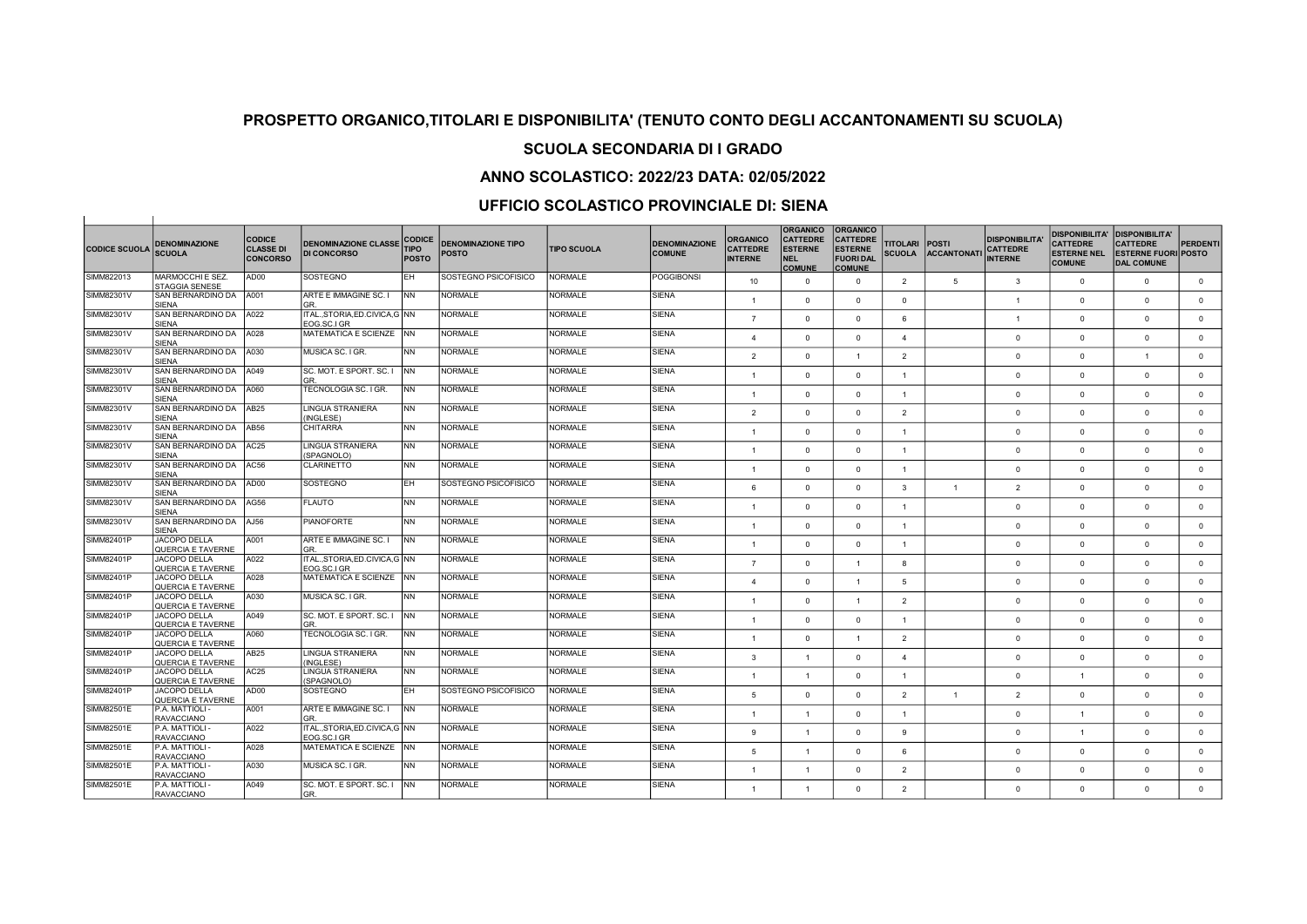## SCUOLA SECONDARIA DI I GRADO

## ANNO SCOLASTICO: 2022/23 DATA: 02/05/2022

| <b>CODICE SCUOLA</b> | <b>DENOMINAZIONE</b><br><b>SCUOLA</b>           | <b>CODICE</b><br><b>CLASSE DI</b><br><b>CONCORSO</b> | <b>DENOMINAZIONE CLASSE</b><br><b>DI CONCORSO</b> | <b>CODICE</b><br><b>TIPO</b><br><b>POSTO</b> | <b>DENOMINAZIONE TIPO</b><br><b>POSTO</b> | <b>TIPO SCUOLA</b> | <b>DENOMINAZIONE</b><br><b>COMUNE</b> | <b>ORGANICO</b><br><b>CATTEDRE</b><br><b>INTERNE</b> | <b>ORGANICO</b><br><b>CATTEDRE</b><br><b>ESTERNE</b><br><b>NEL</b><br><b>COMUNE</b> | <b>ORGANICO</b><br><b>CATTEDRE</b><br><b>ESTERNE</b><br><b>FUORI DAL</b><br><b>COMUNE</b> | <b>TITOLARI</b><br><b>SCUOLA</b> | <b>POSTI</b><br><b>ACCANTONATI</b> | <b>DISPONIBILITA</b><br><b>CATTEDRE</b><br><b>INTERNE</b> | <b>DISPONIBILITA'</b><br><b>CATTEDRE</b><br><b>ESTERNE NEL</b><br><b>COMUNE</b> | <b>DISPONIBILITA'</b><br><b>CATTEDRE</b><br><b>ESTERNE FUORI POSTO</b><br><b>DAL COMUNE</b> | PERDENTI     |
|----------------------|-------------------------------------------------|------------------------------------------------------|---------------------------------------------------|----------------------------------------------|-------------------------------------------|--------------------|---------------------------------------|------------------------------------------------------|-------------------------------------------------------------------------------------|-------------------------------------------------------------------------------------------|----------------------------------|------------------------------------|-----------------------------------------------------------|---------------------------------------------------------------------------------|---------------------------------------------------------------------------------------------|--------------|
| SIMM822013           | MARMOCCHI E SEZ.<br>STAGGIA SENESE              | AD00                                                 | SOSTEGNO                                          | EH.                                          | SOSTEGNO PSICOFISICO                      | <b>NORMALE</b>     | <b>POGGIBONSI</b>                     | 10                                                   | $\Omega$                                                                            | $\circ$                                                                                   | $\overline{2}$                   | 5                                  | $\mathbf{3}$                                              | $\overline{0}$                                                                  | $\mathbf{0}$                                                                                | $\mathbf{0}$ |
| SIMM82301V           | SAN BERNARDINO DA<br><b>SIFNA</b>               | A001                                                 | ARTE E IMMAGINE SC. I<br>GR                       | <b>INN</b>                                   | <b>NORMALE</b>                            | <b>NORMALE</b>     | <b>SIENA</b>                          | $\mathbf{1}$                                         | $\Omega$                                                                            | $\mathbf{0}$                                                                              | $\Omega$                         |                                    | $\overline{1}$                                            | $\Omega$                                                                        | $\Omega$                                                                                    | $\mathbf 0$  |
| SIMM82301V           | SAN BERNARDINO DA<br><b>SIENA</b>               | A022                                                 | ITAL., STORIA, ED.CIVICA, G NN<br>EOG.SC.I GR     |                                              | NORMALE                                   | <b>NORMALE</b>     | <b>SIENA</b>                          | $\overline{7}$                                       | $\Omega$                                                                            | $\mathbf{0}$                                                                              | 6                                |                                    | $\overline{1}$                                            | $\overline{0}$                                                                  | $\mathbf{0}$                                                                                | $\mathbf 0$  |
| SIMM82301V           | SAN BERNARDINO DA<br><b>SIFNA</b>               | A028                                                 | MATEMATICA E SCIENZE NN                           |                                              | <b>NORMALE</b>                            | <b>NORMALE</b>     | <b>SIENA</b>                          | $\mathbf{A}$                                         | $\Omega$                                                                            | $\Omega$                                                                                  | $\overline{4}$                   |                                    | $\Omega$                                                  | $\Omega$                                                                        | $\Omega$                                                                                    | $\Omega$     |
| SIMM82301V           | SAN BERNARDINO DA                               | A030                                                 | MUSICA SC. I GR.                                  | <b>NN</b>                                    | NORMALE                                   | NORMALE            | SIENA                                 | $\overline{\phantom{0}}$                             | $\Omega$                                                                            | $\mathbf{1}$                                                                              | $\overline{2}$                   |                                    | $\Omega$                                                  | $\Omega$                                                                        |                                                                                             | $\mathbf{0}$ |
| SIMM82301V           | <b>SIENA</b><br>SAN BERNARDINO DA               | A049                                                 | SC. MOT. E SPORT. SC. I                           | <b>INN</b>                                   | <b>NORMALE</b>                            | <b>NORMALE</b>     | <b>SIENA</b>                          | $\overline{1}$                                       | $\Omega$                                                                            | $\circ$                                                                                   | $\overline{1}$                   |                                    | $\Omega$                                                  | $\overline{0}$                                                                  | $\mathbf{0}$                                                                                | $\circ$      |
| SIMM82301V           | <b>SIENA</b><br>SAN BERNARDINO DA               | A060                                                 | GR<br>TECNOLOGIA SC. I GR.                        | <b>NN</b>                                    | NORMALE                                   | <b>NORMALE</b>     | <b>SIENA</b>                          | $\overline{1}$                                       | $\Omega$                                                                            | $\circ$                                                                                   | $\overline{1}$                   |                                    | $\Omega$                                                  | $\Omega$                                                                        | $\Omega$                                                                                    | $\circ$      |
| SIMM82301V           | <b>SIENA</b><br>SAN BERNARDINO DA               | AB <sub>25</sub>                                     | <b>LINGUA STRANIERA</b>                           | <b>NN</b>                                    | <b>NORMALE</b>                            | <b>NORMALE</b>     | <b>SIENA</b>                          | 2                                                    | $\Omega$                                                                            | $\mathbf{0}$                                                                              | $\overline{2}$                   |                                    | $\Omega$                                                  | $\Omega$                                                                        | $\mathbf{0}$                                                                                | $\mathbf 0$  |
| SIMM82301V           | <b>SIENA</b><br>SAN BERNARDINO DA               | AB <sub>56</sub>                                     | (INGLESE)<br><b>CHITARRA</b>                      | <b>NN</b>                                    | <b>NORMALE</b>                            | <b>NORMALE</b>     | <b>SIENA</b>                          | $\ddot{\phantom{0}}$                                 | $\Omega$                                                                            | $\circ$                                                                                   | $\blacktriangleleft$             |                                    | $\Omega$                                                  | $\Omega$                                                                        | $\Omega$                                                                                    | $\mathbf{0}$ |
| SIMM82301V           | <b>SIENA</b><br>SAN BERNARDINO DA               | AC <sub>25</sub>                                     | LINGUA STRANIERA                                  | <b>NN</b>                                    | <b>NORMALE</b>                            | <b>NORMALE</b>     | <b>SIENA</b>                          | $\mathbf{1}$                                         | $\Omega$                                                                            | $\Omega$                                                                                  | $\overline{1}$                   |                                    | $\Omega$                                                  | $\Omega$                                                                        | $\Omega$                                                                                    | $\mathbf{0}$ |
| SIMM82301V           | <b>SIENA</b><br>SAN BERNARDINO DA               | AC56                                                 | (SPAGNOLO)<br>CLARINETTO                          | <b>NN</b>                                    | NORMALE                                   | <b>NORMALE</b>     | <b>SIENA</b>                          | $\mathbf{1}$                                         | $\Omega$                                                                            | $\mathbf{0}$                                                                              | $\overline{1}$                   |                                    | $\Omega$                                                  | $\overline{0}$                                                                  | $\mathbf{0}$                                                                                | $\mathbf 0$  |
| SIMM82301V           | <b>SIENA</b><br>SAN BERNARDINO DA               | AD00                                                 | <b>SOSTEGNO</b>                                   | EH.                                          | SOSTEGNO PSICOFISICO                      | <b>NORMALE</b>     | <b>SIENA</b>                          | 6                                                    | $\Omega$                                                                            | $\circ$                                                                                   | 3                                | $\overline{1}$                     | $\overline{2}$                                            | $\overline{0}$                                                                  | $\Omega$                                                                                    | $\mathbf{0}$ |
| SIMM82301V           | <b>SIENA</b><br>SAN BERNARDINO DA               | AG56                                                 | <b>FLAUTO</b>                                     | <b>NN</b>                                    | <b>NORMALE</b>                            | <b>NORMALE</b>     | <b>SIENA</b>                          | $\mathbf{1}$                                         | $\Omega$                                                                            | $\Omega$                                                                                  | $\overline{1}$                   |                                    | $\Omega$                                                  | $\Omega$                                                                        | $\Omega$                                                                                    | $\mathbf{0}$ |
| SIMM82301V           | <b>SIENA</b><br>SAN BERNARDINO DA               | AJ56                                                 | <b>PIANOFORTE</b>                                 | <b>NN</b>                                    | NORMALE                                   | <b>NORMALE</b>     | <b>SIENA</b>                          | $\overline{1}$                                       | $\Omega$                                                                            | $\circ$                                                                                   | $\overline{1}$                   |                                    | $\Omega$                                                  | $\Omega$                                                                        | $\Omega$                                                                                    | $\mathbf{0}$ |
| <b>SIMM82401P</b>    | SIFNA<br><b>JACOPO DELLA</b>                    | A001                                                 | ARTE E IMMAGINE SC. I                             | <b>INN</b>                                   | <b>NORMALE</b>                            | <b>NORMALE</b>     | <b>SIENA</b>                          | $\overline{1}$                                       | $\Omega$                                                                            | $\Omega$                                                                                  | $\mathbf{1}$                     |                                    | $\Omega$                                                  | $\Omega$                                                                        | $\Omega$                                                                                    | $\mathbf{0}$ |
| SIMM82401P           | QUERCIA E TAVERNE<br><b>JACOPO DELLA</b>        | A022                                                 | GR<br>ITAL., STORIA, ED.CIVICA, G   NN            |                                              | <b>NORMALE</b>                            | <b>NORMALE</b>     | <b>SIENA</b>                          | $\overline{7}$                                       | $\Omega$                                                                            | $\overline{1}$                                                                            | 8                                |                                    | $\Omega$                                                  | $\Omega$                                                                        | $\Omega$                                                                                    | $\mathbf{0}$ |
| SIMM82401P           | QUERCIA E TAVERNE<br><b>JACOPO DELLA</b>        | A028                                                 | EOG.SC.I GR<br>MATEMATICA E SCIENZE               | <b>INN</b>                                   | <b>NORMALE</b>                            | NORMALE            | <b>SIENA</b>                          | $\mathbf{A}$                                         | $\overline{0}$                                                                      | $\mathbf{1}$                                                                              | 5                                |                                    | $\Omega$                                                  | $\Omega$                                                                        | $\mathbf{0}$                                                                                | $\mathbf 0$  |
| SIMM82401P           | <b>OUFRCIA E TAVERNE</b><br><b>JACOPO DELLA</b> | A030                                                 | MUSICA SC. I GR.                                  | <b>NN</b>                                    | <b>NORMALE</b>                            | <b>NORMALE</b>     | <b>SIENA</b>                          | $\overline{1}$                                       | $\Omega$                                                                            | $\overline{1}$                                                                            |                                  |                                    | $\Omega$                                                  | $\overline{0}$                                                                  |                                                                                             |              |
| SIMM82401P           | QUERCIA E TAVERNE<br>JACOPO DELLA               | A049                                                 | SC. MOT. E SPORT. SC. I                           | INN.                                         | NORMALE                                   | <b>NORMALE</b>     | <b>SIENA</b>                          |                                                      |                                                                                     |                                                                                           | $\overline{2}$                   |                                    |                                                           |                                                                                 | $\mathbf{0}$                                                                                | $\mathbf 0$  |
| SIMM82401P           | QUERCIA E TAVERNE<br>JACOPO DELLA               | A060                                                 | GR<br>TECNOLOGIA SC. I GR.                        | INN.                                         | <b>NORMALE</b>                            | <b>NORMALE</b>     | SIENA                                 | $\mathbf{1}$                                         | $\Omega$                                                                            | $\mathbf{0}$                                                                              | $\overline{1}$                   |                                    | $\Omega$                                                  | $\overline{0}$                                                                  | $\Omega$                                                                                    | $\mathbf{0}$ |
|                      | QUERCIA E TAVERNE                               |                                                      |                                                   |                                              |                                           |                    |                                       | $\mathbf{1}$                                         | $\Omega$                                                                            | $\mathbf{1}$                                                                              | $\overline{2}$                   |                                    | $\Omega$                                                  | $\overline{0}$                                                                  | $\Omega$                                                                                    | $\mathbf{0}$ |
| SIMM82401P           | JACOPO DELLA<br>QUERCIA E TAVERNE               | AB25                                                 | LINGUA STRANIERA<br>(INGLESE)                     | <b>NN</b>                                    | NORMALE                                   | <b>NORMALE</b>     | <b>SIENA</b>                          | 3                                                    | $\overline{1}$                                                                      | $\circ$                                                                                   | $\overline{4}$                   |                                    | $\Omega$                                                  | $\overline{0}$                                                                  | $\mathbf{0}$                                                                                | $\mathbf{0}$ |
| SIMM82401P           | JACOPO DELLA<br>QUERCIA E TAVERNE               | AC25                                                 | LINGUA STRANIERA<br>(SPAGNOLO)                    | <b>NN</b>                                    | <b>NORMALE</b>                            | <b>NORMALE</b>     | <b>SIENA</b>                          | $\overline{1}$                                       | $\overline{1}$                                                                      | $\circ$                                                                                   | $\mathbf{1}$                     |                                    | $\Omega$                                                  | $\overline{1}$                                                                  | $\Omega$                                                                                    | $\circ$      |
| SIMM82401P           | JACOPO DELLA<br>QUERCIA E TAVERNE               | AD00                                                 | SOSTEGNO                                          | EH                                           | SOSTEGNO PSICOFISICO                      | <b>NORMALE</b>     | SIENA                                 | 5                                                    | $\overline{0}$                                                                      | $\mathbf{0}$                                                                              | $\overline{2}$                   | $\overline{1}$                     | 2                                                         | $\overline{0}$                                                                  | $\mathbf{0}$                                                                                | $\mathbf 0$  |
| SIMM82501E           | P.A. MATTIOLI-<br><b>RAVACCIANO</b>             | A001                                                 | ARTE E IMMAGINE SC. I<br>GR.                      | <b>NN</b>                                    | <b>NORMALE</b>                            | <b>NORMALE</b>     | <b>SIENA</b>                          | $\mathbf{1}$                                         | $\overline{1}$                                                                      | $\circ$                                                                                   | $\overline{1}$                   |                                    | $\Omega$                                                  | $\overline{1}$                                                                  | $\Omega$                                                                                    | $\mathbf{0}$ |
| SIMM82501E           | P.A. MATTIOLI<br><b>RAVACCIANO</b>              | A022                                                 | ITAL., STORIA, ED.CIVICA, G NN<br>FOG SC LGR      |                                              | <b>NORMALE</b>                            | <b>NORMALE</b>     | <b>SIENA</b>                          | 9                                                    | $\overline{1}$                                                                      | $\circ$                                                                                   | 9                                |                                    | $\Omega$                                                  |                                                                                 | $\Omega$                                                                                    | $\mathbf{0}$ |
| <b>SIMM82501E</b>    | P.A. MATTIOLI<br><b>RAVACCIANO</b>              | A028                                                 | MATEMATICA E SCIENZE                              | <b>NN</b>                                    | <b>NORMALE</b>                            | <b>NORMALE</b>     | <b>SIENA</b>                          | 5                                                    | $\overline{1}$                                                                      | $\circ$                                                                                   | 6                                |                                    | $\Omega$                                                  | $\overline{0}$                                                                  | $\Omega$                                                                                    | $\mathbf{0}$ |
| SIMM82501E           | P.A. MATTIOLI<br><b>RAVACCIANO</b>              | A030                                                 | MUSICA SC. I GR.                                  | <b>NN</b>                                    | <b>NORMALE</b>                            | <b>NORMALE</b>     | <b>SIENA</b>                          | $\overline{1}$                                       | $\overline{1}$                                                                      | $\circ$                                                                                   | $\overline{2}$                   |                                    | $\Omega$                                                  | $\overline{0}$                                                                  | $^{\circ}$                                                                                  | $\mathbf 0$  |
| SIMM82501E           | P.A. MATTIOLI<br><b>RAVACCIANO</b>              | A049                                                 | SC. MOT. E SPORT. SC. I<br>GR.                    | I NN                                         | <b>NORMALE</b>                            | <b>NORMALE</b>     | <b>SIENA</b>                          | $\overline{1}$                                       | $\overline{1}$                                                                      | $\Omega$                                                                                  | $\overline{2}$                   |                                    | $\Omega$                                                  | $\Omega$                                                                        | $\Omega$                                                                                    | $\mathbf 0$  |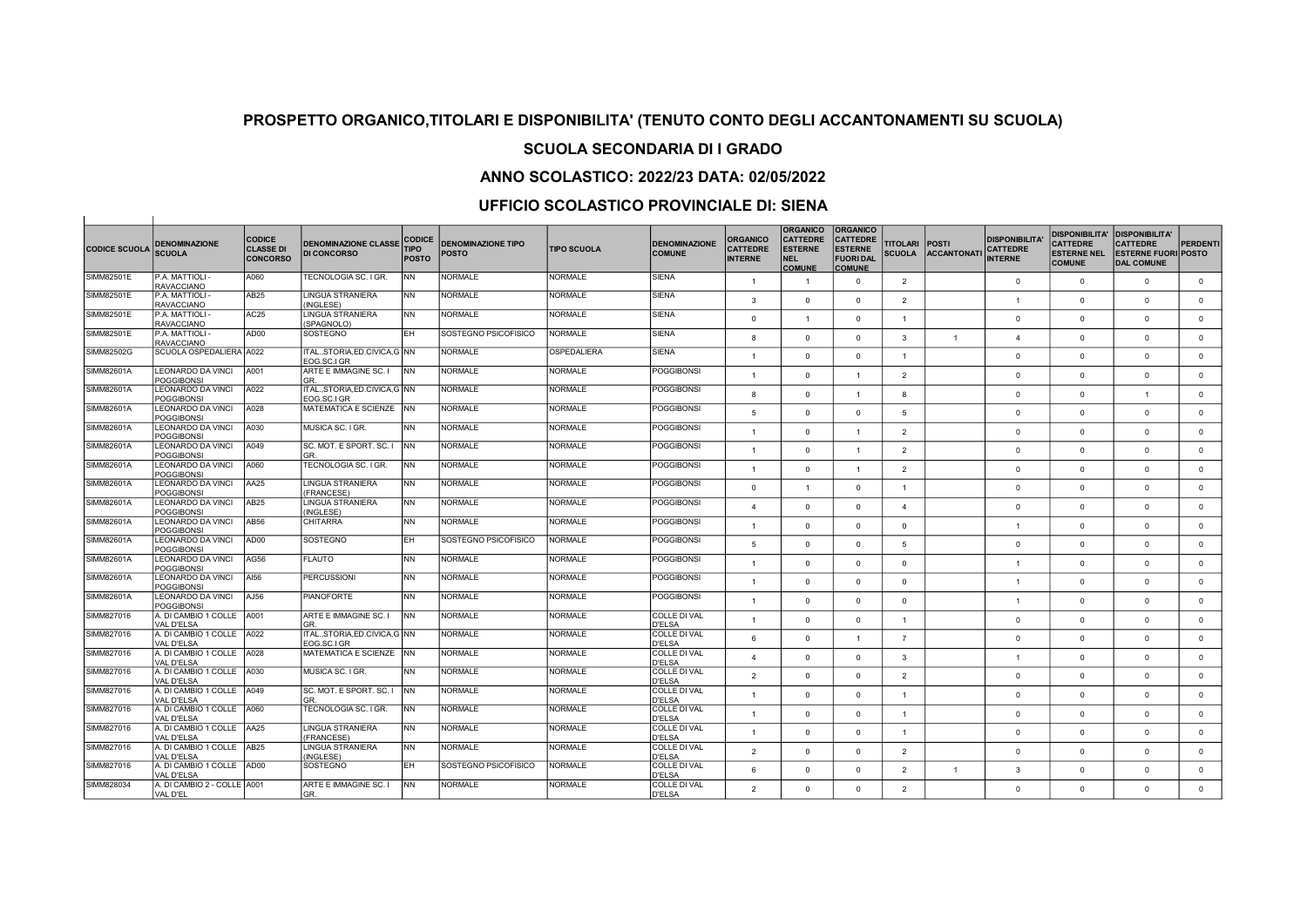#### SCUOLA SECONDARIA DI I GRADO

## ANNO SCOLASTICO: 2022/23 DATA: 02/05/2022

| <b>CODICE SCUOLA</b> | <b>DENOMINAZIONE</b><br><b>SCUOLA</b>                       | <b>CODICE</b><br><b>CLASSE DI</b><br><b>CONCORSO</b> | <b>DENOMINAZIONE CLASSE</b><br><b>DI CONCORSO</b> | <b>CODICE</b><br><b>TIPO</b><br><b>POSTO</b> | <b>DENOMINAZIONE TIPO</b><br><b>POSTO</b> | <b>TIPO SCUOLA</b> | <b>DENOMINAZIONE</b><br><b>COMUNE</b> | <b>ORGANICO</b><br><b>CATTEDRE</b><br><b>INTERNE</b> | <b>ORGANICO</b><br><b>CATTEDRE</b><br><b>ESTERNE</b><br><b>NEL</b><br><b>COMUNE</b> | <b>ORGANICO</b><br><b>CATTEDRE</b><br><b>ESTERNE</b><br><b>FUORI DAL</b><br><b>COMUNE</b> | <b>TITOLARI</b><br><b>SCUOLA</b> | <b>POSTI</b><br><b>ACCANTONATI</b> | <b>DISPONIBILITA</b><br><b>CATTEDRE</b><br><b>INTERNE</b> | <b>DISPONIBILITA'</b><br><b>CATTEDRE</b><br><b>ESTERNE NEL</b><br><b>COMUNE</b> | <b>DISPONIBILITA'</b><br><b>CATTEDRE</b><br><b>ESTERNE FUORI POSTO</b><br><b>DAL COMUNE</b> | PERDENTI     |
|----------------------|-------------------------------------------------------------|------------------------------------------------------|---------------------------------------------------|----------------------------------------------|-------------------------------------------|--------------------|---------------------------------------|------------------------------------------------------|-------------------------------------------------------------------------------------|-------------------------------------------------------------------------------------------|----------------------------------|------------------------------------|-----------------------------------------------------------|---------------------------------------------------------------------------------|---------------------------------------------------------------------------------------------|--------------|
| SIMM82501E           | P.A. MATTIOLI<br><b>RAVACCIANO</b>                          | A060                                                 | TECNOLOGIA SC. I GR.                              | <b>NN</b>                                    | <b>NORMALE</b>                            | <b>NORMALE</b>     | <b>SIENA</b>                          | $\overline{1}$                                       | $\overline{1}$                                                                      | $\circ$                                                                                   | $\overline{2}$                   |                                    | $\mathbf{0}$                                              | $\overline{0}$                                                                  | $\mathbf{0}$                                                                                | $\mathbf{0}$ |
| <b>SIMM82501E</b>    | P.A. MATTIOLI<br><b>RAVACCIANO</b>                          | AB <sub>25</sub>                                     | LINGUA STRANIERA<br>(INGLESE)                     | <b>NN</b>                                    | NORMALE                                   | <b>NORMALE</b>     | <b>SIENA</b>                          | $\mathbf{3}$                                         | $\Omega$                                                                            | $\circ$                                                                                   | $\overline{2}$                   |                                    | $\overline{1}$                                            | $\Omega$                                                                        | $\Omega$                                                                                    | $\mathbf 0$  |
| SIMM82501E           | P.A. MATTIOLI<br><b>RAVACCIANO</b>                          | AC25                                                 | LINGUA STRANIERA<br>(SPAGNOLO)                    | <b>NN</b>                                    | <b>NORMALE</b>                            | <b>NORMALE</b>     | <b>SIENA</b>                          | $\overline{0}$                                       | $\overline{1}$                                                                      | $\mathbf{0}$                                                                              | $\overline{1}$                   |                                    | $\Omega$                                                  | $\mathbf{0}$                                                                    | $\mathbf{0}$                                                                                | $\mathbf{0}$ |
| SIMM82501E           | P.A. MATTIOLI<br><b>RAVACCIANO</b>                          | AD00                                                 | SOSTEGNO                                          | EH.                                          | SOSTEGNO PSICOFISICO                      | <b>NORMALE</b>     | <b>SIENA</b>                          | 8                                                    | $\Omega$                                                                            | $\Omega$                                                                                  | 3                                | $\overline{1}$                     | $\mathbf{A}$                                              | $\Omega$                                                                        | $\Omega$                                                                                    | $\Omega$     |
| SIMM82502G           | SCUOLA OSPEDALIERA A022                                     |                                                      | ITAL.,STORIA,ED.CIVICA,G   NN                     |                                              | <b>NORMALE</b>                            | OSPEDALIERA        | SIENA                                 | $\overline{1}$                                       | $\Omega$                                                                            | $\Omega$                                                                                  | $\mathbf{1}$                     |                                    | $\Omega$                                                  | $\Omega$                                                                        | $\Omega$                                                                                    | $\mathbf{0}$ |
| SIMM82601A           | LEONARDO DA VINCI<br><b>POGGIBONSI</b>                      | A001                                                 | EOG.SC.I GR<br>ARTE E IMMAGINE SC. I<br>GR.       | <b>INN</b>                                   | <b>NORMALE</b>                            | <b>NORMALE</b>     | <b>POGGIBONSI</b>                     | $\overline{1}$                                       | $\Omega$                                                                            | $\overline{1}$                                                                            | $\overline{2}$                   |                                    | $\Omega$                                                  | $\Omega$                                                                        | $\Omega$                                                                                    | $\circ$      |
| SIMM82601A           | LEONARDO DA VINCI<br><b>POGGIBONSI</b>                      | A022                                                 | ITALSTORIA.ED.CIVICA.G INN<br>EOG.SC.I GR         |                                              | <b>NORMALE</b>                            | <b>NORMALE</b>     | <b>POGGIBONSI</b>                     | 8                                                    | $\Omega$                                                                            | $\overline{1}$                                                                            | 8                                |                                    | $\Omega$                                                  | $\Omega$                                                                        |                                                                                             | $\circ$      |
| SIMM82601A           | LEONARDO DA VINCI                                           | A028                                                 | MATEMATICA E SCIENZE                              | <b>INN</b>                                   | <b>NORMALE</b>                            | <b>NORMALE</b>     | POGGIBONSI                            | 5                                                    | $\Omega$                                                                            | $\circ$                                                                                   | 5                                |                                    | $\Omega$                                                  | $\Omega$                                                                        | $\Omega$                                                                                    | $\mathbf{0}$ |
| SIMM82601A           | <b>POGGIBONSI</b><br>LEONARDO DA VINCI<br><b>POGGIBONSI</b> | A030                                                 | MUSICA SC. I GR.                                  | <b>NN</b>                                    | <b>NORMALE</b>                            | <b>NORMALE</b>     | POGGIBONSI                            | $\overline{1}$                                       | $\Omega$                                                                            | $\blacktriangleleft$                                                                      | 2                                |                                    | $\Omega$                                                  | $\Omega$                                                                        | $\Omega$                                                                                    | $\mathbf{0}$ |
| SIMM82601A           | <b>LEONARDO DA VINCI</b><br><b>POGGIBONSI</b>               | A049                                                 | ISC. MOT. E SPORT. SC. I<br>GR.                   | <b>INN</b>                                   | <b>NORMALE</b>                            | <b>NORMALE</b>     | <b>POGGIBONSI</b>                     | $\overline{1}$                                       | $\Omega$                                                                            | $\overline{1}$                                                                            | $\overline{2}$                   |                                    | $\Omega$                                                  | $\Omega$                                                                        | $\Omega$                                                                                    | $\mathbf{0}$ |
| SIMM82601A           | LEONARDO DA VINCI<br><b>POGGIBONSI</b>                      | A060                                                 | TECNOLOGIA SC. I GR.                              | <b>NN</b>                                    | <b>NORMALE</b>                            | <b>NORMALE</b>     | POGGIBONSI                            | $\mathbf{1}$                                         | $\Omega$                                                                            | $\mathbf{1}$                                                                              | $\overline{2}$                   |                                    | $\Omega$                                                  | $\overline{0}$                                                                  | $\mathbf{0}$                                                                                | $\mathbf 0$  |
| SIMM82601A           | LEONARDO DA VINCI<br><b>POGGIBONSI</b>                      | AA25                                                 | LINGUA STRANIERA<br>(FRANCESE)                    | <b>NN</b>                                    | <b>NORMALE</b>                            | <b>NORMALE</b>     | POGGIBONSI                            | $\Omega$                                             | $\overline{1}$                                                                      | $\circ$                                                                                   | $\mathbf{1}$                     |                                    | $\Omega$                                                  | $\Omega$                                                                        | $\Omega$                                                                                    | $\mathbf{0}$ |
| SIMM82601A           | LEONARDO DA VINCI<br><b>POGGIBONSI</b>                      | AB <sub>25</sub>                                     | LINGUA STRANIERA<br>(INGLESE)                     | <b>NN</b>                                    | NORMALE                                   | <b>NORMALE</b>     | <b>POGGIBONSI</b>                     | $\overline{a}$                                       | $\Omega$                                                                            | $\Omega$                                                                                  | 4                                |                                    | $\Omega$                                                  | $\Omega$                                                                        | $\Omega$                                                                                    | $\mathbf{0}$ |
| SIMM82601A           | LEONARDO DA VINCI<br><b>POGGIBONSI</b>                      | AB56                                                 | <b>CHITARRA</b>                                   | <b>NN</b>                                    | NORMALE                                   | <b>NORMALE</b>     | POGGIBONSI                            | $\overline{1}$                                       | $\Omega$                                                                            | $\circ$                                                                                   | $\Omega$                         |                                    | $\overline{1}$                                            | $\Omega$                                                                        | $\Omega$                                                                                    | $\mathbf{0}$ |
| SIMM82601A           | <b>LEONARDO DA VINCI</b><br><b>POGGIBONSI</b>               | AD00                                                 | <b>SOSTEGNO</b>                                   | EH.                                          | SOSTEGNO PSICOFISICO                      | <b>NORMALE</b>     | <b>POGGIBONSI</b>                     | 5                                                    | $\Omega$                                                                            | $\Omega$                                                                                  | $\overline{5}$                   |                                    | $\Omega$                                                  | $\Omega$                                                                        | $\Omega$                                                                                    | $\Omega$     |
| SIMM82601A           | LEONARDO DA VINCI<br><b>POGGIBONSI</b>                      | AG56                                                 | <b>FLAUTO</b>                                     | <b>NN</b>                                    | <b>NORMALE</b>                            | <b>NORMALE</b>     | <b>POGGIBONSI</b>                     | $\overline{1}$                                       | $\Omega$                                                                            | $\Omega$                                                                                  | $\Omega$                         |                                    | $\overline{1}$                                            | $\Omega$                                                                        | $\Omega$                                                                                    | $\mathbf{0}$ |
| SIMM82601A           | <b>LEONARDO DA VINCI</b><br>POGGIBONSI                      | AI56                                                 | PERCUSSIONI                                       | <b>NN</b>                                    | <b>NORMALE</b>                            | NORMALE            | <b>POGGIBONSI</b>                     | $\overline{1}$                                       | $\Omega$                                                                            | $\circ$                                                                                   | $\mathbf{0}$                     |                                    | $\overline{1}$                                            | $\Omega$                                                                        | $\Omega$                                                                                    | $\mathbf{0}$ |
| SIMM82601A           | LEONARDO DA VINCI<br><b>POGGIBONSI</b>                      | AJ56                                                 | <b>PIANOFORTE</b>                                 | <b>NN</b>                                    | <b>NORMALE</b>                            | <b>NORMALE</b>     | <b>POGGIBONSI</b>                     | $\overline{1}$                                       | $\Omega$                                                                            | $\mathbf{0}$                                                                              | $\Omega$                         |                                    | $\overline{1}$                                            | $\mathbf{0}$                                                                    | $\mathbf{0}$                                                                                | $\mathbf{0}$ |
| SIMM827016           | A. DI CAMBIO 1 COLLE A001<br><b>VAL D'ELSA</b>              |                                                      | ARTE E IMMAGINE SC. I<br>GR                       | <b>NN</b>                                    | NORMALE                                   | <b>NORMALE</b>     | <b>COLLE DI VAL</b><br>D'ELSA         | $\mathbf{1}$                                         | $\Omega$                                                                            | $\circ$                                                                                   | $\overline{1}$                   |                                    | $\Omega$                                                  | $\overline{0}$                                                                  | $\Omega$                                                                                    | $\mathbf{0}$ |
| SIMM827016           | A. DI CAMBIO 1 COLLE   A022<br>VAL D'FLSA                   |                                                      | ITAL., STORIA, ED.CIVICA, G NN<br>FOG SC LGR      |                                              | <b>NORMALE</b>                            | <b>NORMALE</b>     | <b>COLLE DI VAL</b><br>D'ELSA         | 6                                                    | $\Omega$                                                                            | $\overline{1}$                                                                            | $\overline{7}$                   |                                    | $\Omega$                                                  | $\Omega$                                                                        | $\Omega$                                                                                    | $\mathbf{0}$ |
| SIMM827016           | A. DI CAMBIO 1 COLLE<br>VAL D'ELSA                          | A028                                                 | <b>MATEMATICA E SCIENZE</b>                       | <b>INN</b>                                   | NORMALE                                   | <b>NORMALE</b>     | COLLE DI VAL<br>D'ELSA                | $\mathbf{A}$                                         | $\Omega$                                                                            | $\circ$                                                                                   | 3                                |                                    | $\overline{1}$                                            | $\overline{0}$                                                                  | $\mathbf{0}$                                                                                | $\mathbf{0}$ |
| SIMM827016           | A. DI CAMBIO 1 COLLE   A030<br><b>VAL D'ELSA</b>            |                                                      | MUSICA SC. I GR.                                  | <b>NN</b>                                    | <b>NORMALE</b>                            | <b>NORMALE</b>     | COLLE DI VAL<br><b>D'ELSA</b>         | $\overline{\phantom{0}}$                             | $\Omega$                                                                            | $\circ$                                                                                   | $\overline{2}$                   |                                    | $\Omega$                                                  | $\Omega$                                                                        | $\Omega$                                                                                    | $\circ$      |
| SIMM827016           | A. DI CAMBIO 1 COLLE   A049<br>VAL D'ELSA                   |                                                      | SC. MOT. E SPORT. SC. I<br>GR                     | <b>INN</b>                                   | NORMALE                                   | <b>NORMALE</b>     | COLLE DI VAL<br>D'ELSA                | $\mathbf{1}$                                         | $\Omega$                                                                            | $\mathbf{0}$                                                                              | $\overline{1}$                   |                                    | $\Omega$                                                  | $\Omega$                                                                        | $\Omega$                                                                                    | $\mathbf{0}$ |
| SIMM827016           | A. DI CAMBIO 1 COLLE   A060<br>VAL D'ELSA                   |                                                      | TECNOLOGIA SC. I GR.                              | <b>NN</b>                                    | <b>NORMALE</b>                            | <b>NORMALE</b>     | <b>COLLE DI VAL</b><br><b>D'ELSA</b>  | $\overline{1}$                                       | $\Omega$                                                                            | $\circ$                                                                                   | $\overline{1}$                   |                                    | $\Omega$                                                  | $\Omega$                                                                        | $\Omega$                                                                                    | $\mathbf{0}$ |
| SIMM827016           | A. DI CAMBIO 1 COLLE   AA25<br>VAL D'ELSA                   |                                                      | LINGUA STRANIERA<br>(FRANCESE)                    | <b>NN</b>                                    | <b>NORMALE</b>                            | <b>NORMALE</b>     | COLLE DI VAL<br>D'ELSA                | $\overline{1}$                                       | $\Omega$                                                                            | $\circ$                                                                                   | $\overline{1}$                   |                                    | $\Omega$                                                  | $\Omega$                                                                        | $\Omega$                                                                                    | $\mathbf{0}$ |
| SIMM827016           | A. DI CAMBIO 1 COLLE   AB25<br>VAL D'ELSA                   |                                                      | <b>LINGUA STRANIERA</b><br>(INGLESE)              | <b>NN</b>                                    | <b>NORMALE</b>                            | <b>NORMALE</b>     | <b>COLLE DI VAL</b><br>D'ELSA         | $\overline{2}$                                       | $\Omega$                                                                            | $\circ$                                                                                   | $\overline{2}$                   |                                    | $\Omega$                                                  | $\mathbf{0}$                                                                    | $\mathbf{0}$                                                                                | $\mathbf{0}$ |
| SIMM827016           | A. DI CAMBIO 1 COLLE   AD00<br>VAL D'ELSA                   |                                                      | SOSTEGNO                                          | EH.                                          | SOSTEGNO PSICOFISICO                      | <b>NORMALE</b>     | COLLE DI VAL<br>D'ELSA                | 6                                                    | $\Omega$                                                                            | $\circ$                                                                                   | $\overline{2}$                   | $\overline{1}$                     | 3                                                         | $\overline{0}$                                                                  | $^{\circ}$                                                                                  | $\mathbf 0$  |
| SIMM828034           | A. DI CAMBIO 2 - COLLE A001<br>VAL D'EL                     |                                                      | ARTE E IMMAGINE SC. I<br>lgr.                     | <b>NN</b>                                    | <b>NORMALE</b>                            | <b>NORMALE</b>     | COLLE DI VAL<br><b>D'ELSA</b>         | $\mathfrak{p}$                                       | $\Omega$                                                                            | $\Omega$                                                                                  | $\overline{2}$                   |                                    | $\Omega$                                                  | $\Omega$                                                                        | $\Omega$                                                                                    | $\mathbf{0}$ |